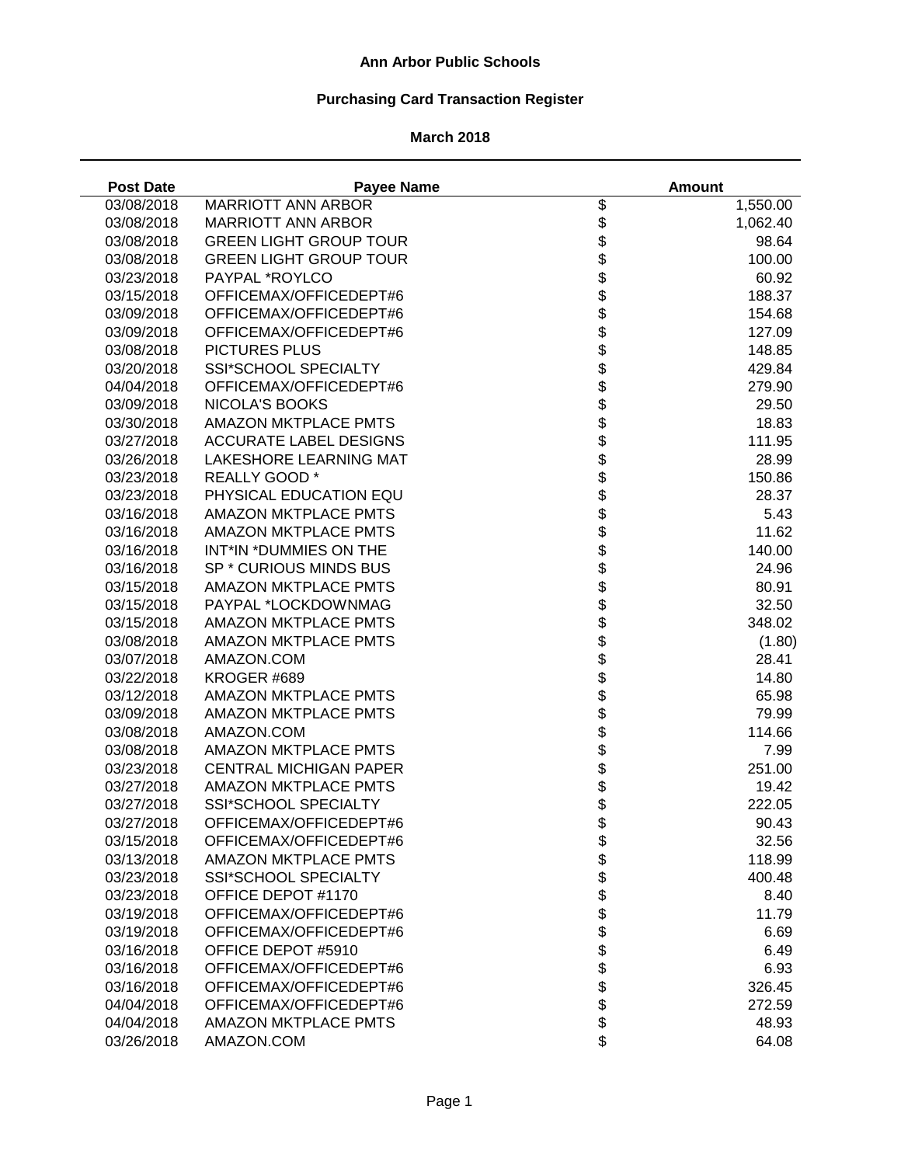# **Purchasing Card Transaction Register**

#### **March 2018**

÷.

| <b>Post Date</b> | <b>Payee Name</b>             |                    | <b>Amount</b> |
|------------------|-------------------------------|--------------------|---------------|
| 03/08/2018       | <b>MARRIOTT ANN ARBOR</b>     | \$                 | 1,550.00      |
| 03/08/2018       | <b>MARRIOTT ANN ARBOR</b>     | \$                 | 1,062.40      |
| 03/08/2018       | <b>GREEN LIGHT GROUP TOUR</b> | \$                 | 98.64         |
| 03/08/2018       | <b>GREEN LIGHT GROUP TOUR</b> |                    | 100.00        |
| 03/23/2018       | PAYPAL *ROYLCO                | <b>8888888</b>     | 60.92         |
| 03/15/2018       | OFFICEMAX/OFFICEDEPT#6        |                    | 188.37        |
| 03/09/2018       | OFFICEMAX/OFFICEDEPT#6        |                    | 154.68        |
| 03/09/2018       | OFFICEMAX/OFFICEDEPT#6        |                    | 127.09        |
| 03/08/2018       | PICTURES PLUS                 |                    | 148.85        |
| 03/20/2018       | SSI*SCHOOL SPECIALTY          |                    | 429.84        |
| 04/04/2018       | OFFICEMAX/OFFICEDEPT#6        |                    | 279.90        |
| 03/09/2018       | <b>NICOLA'S BOOKS</b>         | \$                 | 29.50         |
| 03/30/2018       | <b>AMAZON MKTPLACE PMTS</b>   | \$                 | 18.83         |
| 03/27/2018       | ACCURATE LABEL DESIGNS        | \$                 | 111.95        |
| 03/26/2018       | <b>LAKESHORE LEARNING MAT</b> | \$                 | 28.99         |
| 03/23/2018       | REALLY GOOD *                 | \$                 | 150.86        |
| 03/23/2018       | PHYSICAL EDUCATION EQU        | \$                 | 28.37         |
| 03/16/2018       | <b>AMAZON MKTPLACE PMTS</b>   |                    | 5.43          |
| 03/16/2018       | <b>AMAZON MKTPLACE PMTS</b>   |                    | 11.62         |
| 03/16/2018       | INT*IN *DUMMIES ON THE        |                    | 140.00        |
| 03/16/2018       | SP * CURIOUS MINDS BUS        |                    | 24.96         |
| 03/15/2018       | <b>AMAZON MKTPLACE PMTS</b>   |                    | 80.91         |
| 03/15/2018       | PAYPAL *LOCKDOWNMAG           |                    | 32.50         |
| 03/15/2018       | AMAZON MKTPLACE PMTS          | <b>88888888888</b> | 348.02        |
| 03/08/2018       | <b>AMAZON MKTPLACE PMTS</b>   |                    | (1.80)        |
| 03/07/2018       | AMAZON.COM                    |                    | 28.41         |
| 03/22/2018       | KROGER #689                   |                    | 14.80         |
| 03/12/2018       | <b>AMAZON MKTPLACE PMTS</b>   |                    | 65.98         |
| 03/09/2018       | <b>AMAZON MKTPLACE PMTS</b>   |                    | 79.99         |
| 03/08/2018       | AMAZON.COM                    | \$                 | 114.66        |
| 03/08/2018       | <b>AMAZON MKTPLACE PMTS</b>   | \$                 | 7.99          |
| 03/23/2018       | <b>CENTRAL MICHIGAN PAPER</b> | \$                 | 251.00        |
| 03/27/2018       | <b>AMAZON MKTPLACE PMTS</b>   | \$                 | 19.42         |
| 03/27/2018       | SSI*SCHOOL SPECIALTY          | \$                 | 222.05        |
| 03/27/2018       | OFFICEMAX/OFFICEDEPT#6        | \$                 | 90.43         |
| 03/15/2018       | OFFICEMAX/OFFICEDEPT#6        | \$                 | 32.56         |
| 03/13/2018       | <b>AMAZON MKTPLACE PMTS</b>   |                    | 118.99        |
| 03/23/2018       | <b>SSI*SCHOOL SPECIALTY</b>   |                    | 400.48        |
| 03/23/2018       | OFFICE DEPOT #1170            |                    | 8.40          |
| 03/19/2018       | OFFICEMAX/OFFICEDEPT#6        |                    | 11.79         |
| 03/19/2018       | OFFICEMAX/OFFICEDEPT#6        |                    | 6.69          |
| 03/16/2018       | OFFICE DEPOT #5910            | <b>88888888</b>    | 6.49          |
| 03/16/2018       | OFFICEMAX/OFFICEDEPT#6        |                    | 6.93          |
| 03/16/2018       | OFFICEMAX/OFFICEDEPT#6        |                    | 326.45        |
| 04/04/2018       | OFFICEMAX/OFFICEDEPT#6        |                    | 272.59        |
| 04/04/2018       | <b>AMAZON MKTPLACE PMTS</b>   | \$                 | 48.93         |
| 03/26/2018       | AMAZON.COM                    | \$                 | 64.08         |
|                  |                               |                    |               |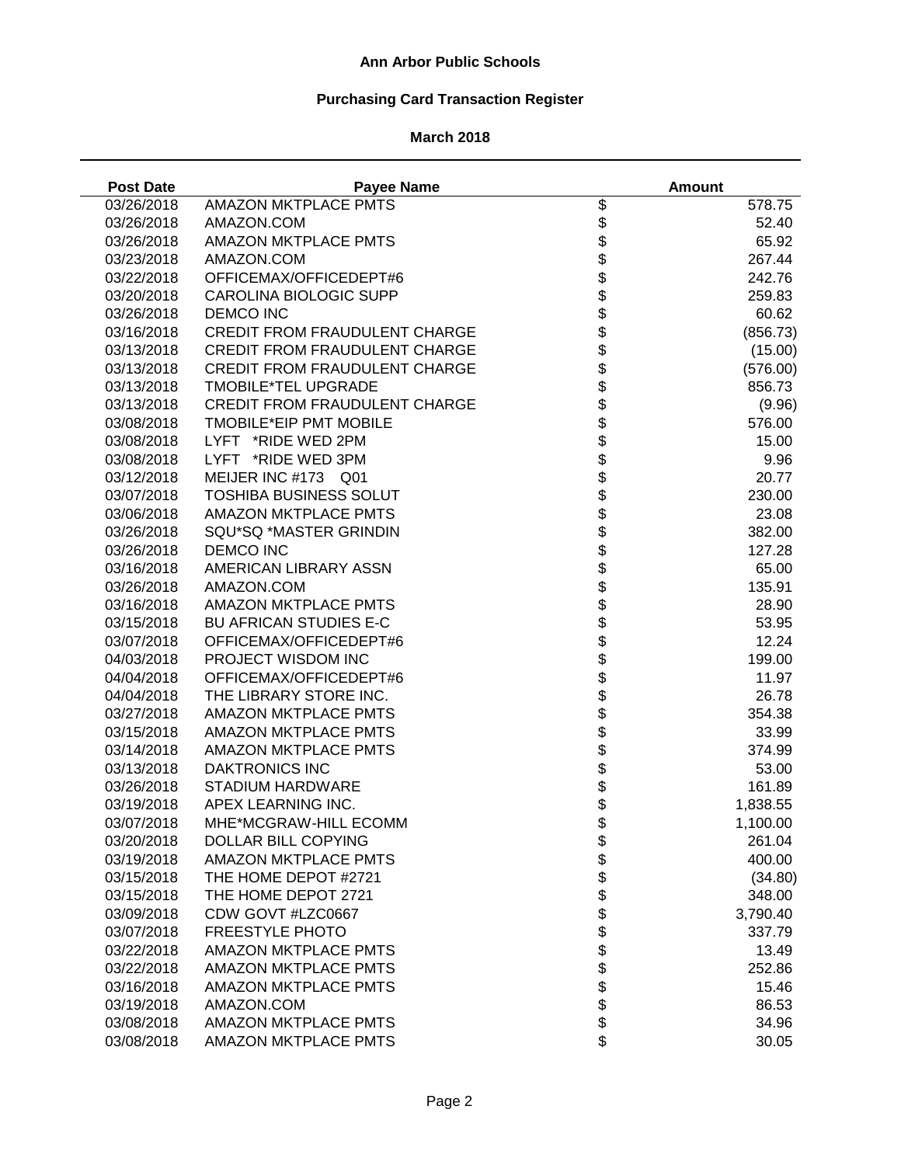# **Purchasing Card Transaction Register**

| <b>Post Date</b> | <b>Payee Name</b>                    |                      | <b>Amount</b> |
|------------------|--------------------------------------|----------------------|---------------|
| 03/26/2018       | <b>AMAZON MKTPLACE PMTS</b>          | \$                   | 578.75        |
| 03/26/2018       | AMAZON.COM                           | \$                   | 52.40         |
| 03/26/2018       | <b>AMAZON MKTPLACE PMTS</b>          |                      | 65.92         |
| 03/23/2018       | AMAZON.COM                           | <b>888888888</b>     | 267.44        |
| 03/22/2018       | OFFICEMAX/OFFICEDEPT#6               |                      | 242.76        |
| 03/20/2018       | <b>CAROLINA BIOLOGIC SUPP</b>        |                      | 259.83        |
| 03/26/2018       | <b>DEMCO INC</b>                     |                      | 60.62         |
| 03/16/2018       | <b>CREDIT FROM FRAUDULENT CHARGE</b> |                      | (856.73)      |
| 03/13/2018       | <b>CREDIT FROM FRAUDULENT CHARGE</b> |                      | (15.00)       |
| 03/13/2018       | <b>CREDIT FROM FRAUDULENT CHARGE</b> |                      | (576.00)      |
| 03/13/2018       | TMOBILE*TEL UPGRADE                  |                      | 856.73        |
| 03/13/2018       | <b>CREDIT FROM FRAUDULENT CHARGE</b> |                      | (9.96)        |
| 03/08/2018       | TMOBILE*EIP PMT MOBILE               | \$                   | 576.00        |
| 03/08/2018       | LYFT *RIDE WED 2PM                   | \$                   | 15.00         |
| 03/08/2018       | *RIDE WED 3PM<br><b>LYFT</b>         | \$                   | 9.96          |
| 03/12/2018       | MEIJER INC #173 Q01                  | \$                   | 20.77         |
| 03/07/2018       | <b>TOSHIBA BUSINESS SOLUT</b>        | \$                   | 230.00        |
| 03/06/2018       | AMAZON MKTPLACE PMTS                 |                      | 23.08         |
| 03/26/2018       | SQU*SQ *MASTER GRINDIN               |                      | 382.00        |
| 03/26/2018       | <b>DEMCO INC</b>                     |                      | 127.28        |
| 03/16/2018       | AMERICAN LIBRARY ASSN                |                      | 65.00         |
| 03/26/2018       | AMAZON.COM                           |                      | 135.91        |
| 03/16/2018       | <b>AMAZON MKTPLACE PMTS</b>          |                      | 28.90         |
| 03/15/2018       | <b>BU AFRICAN STUDIES E-C</b>        |                      | 53.95         |
| 03/07/2018       | OFFICEMAX/OFFICEDEPT#6               |                      | 12.24         |
| 04/03/2018       | PROJECT WISDOM INC                   |                      | 199.00        |
| 04/04/2018       | OFFICEMAX/OFFICEDEPT#6               |                      | 11.97         |
| 04/04/2018       | THE LIBRARY STORE INC.               |                      | 26.78         |
| 03/27/2018       | <b>AMAZON MKTPLACE PMTS</b>          | <b>aaaaaaaaaaaaa</b> | 354.38        |
| 03/15/2018       | <b>AMAZON MKTPLACE PMTS</b>          | \$                   | 33.99         |
| 03/14/2018       | <b>AMAZON MKTPLACE PMTS</b>          | \$                   | 374.99        |
| 03/13/2018       | <b>DAKTRONICS INC</b>                | \$                   | 53.00         |
| 03/26/2018       | <b>STADIUM HARDWARE</b>              | \$                   | 161.89        |
| 03/19/2018       | APEX LEARNING INC.                   | \$                   | 1,838.55      |
| 03/07/2018       | MHE*MCGRAW-HILL ECOMM                | \$                   | 1,100.00      |
| 03/20/2018       | <b>DOLLAR BILL COPYING</b>           | \$                   | 261.04        |
| 03/19/2018       | <b>AMAZON MKTPLACE PMTS</b>          |                      | 400.00        |
| 03/15/2018       | THE HOME DEPOT #2721                 |                      | (34.80)       |
| 03/15/2018       | THE HOME DEPOT 2721                  |                      | 348.00        |
| 03/09/2018       | CDW GOVT #LZC0667                    |                      | 3,790.40      |
| 03/07/2018       | FREESTYLE PHOTO                      |                      | 337.79        |
| 03/22/2018       | <b>AMAZON MKTPLACE PMTS</b>          | <b>88888888</b>      | 13.49         |
| 03/22/2018       | <b>AMAZON MKTPLACE PMTS</b>          |                      | 252.86        |
| 03/16/2018       | <b>AMAZON MKTPLACE PMTS</b>          |                      | 15.46         |
| 03/19/2018       | AMAZON.COM                           |                      | 86.53         |
| 03/08/2018       | <b>AMAZON MKTPLACE PMTS</b>          |                      | 34.96         |
| 03/08/2018       | <b>AMAZON MKTPLACE PMTS</b>          | \$                   | 30.05         |
|                  |                                      |                      |               |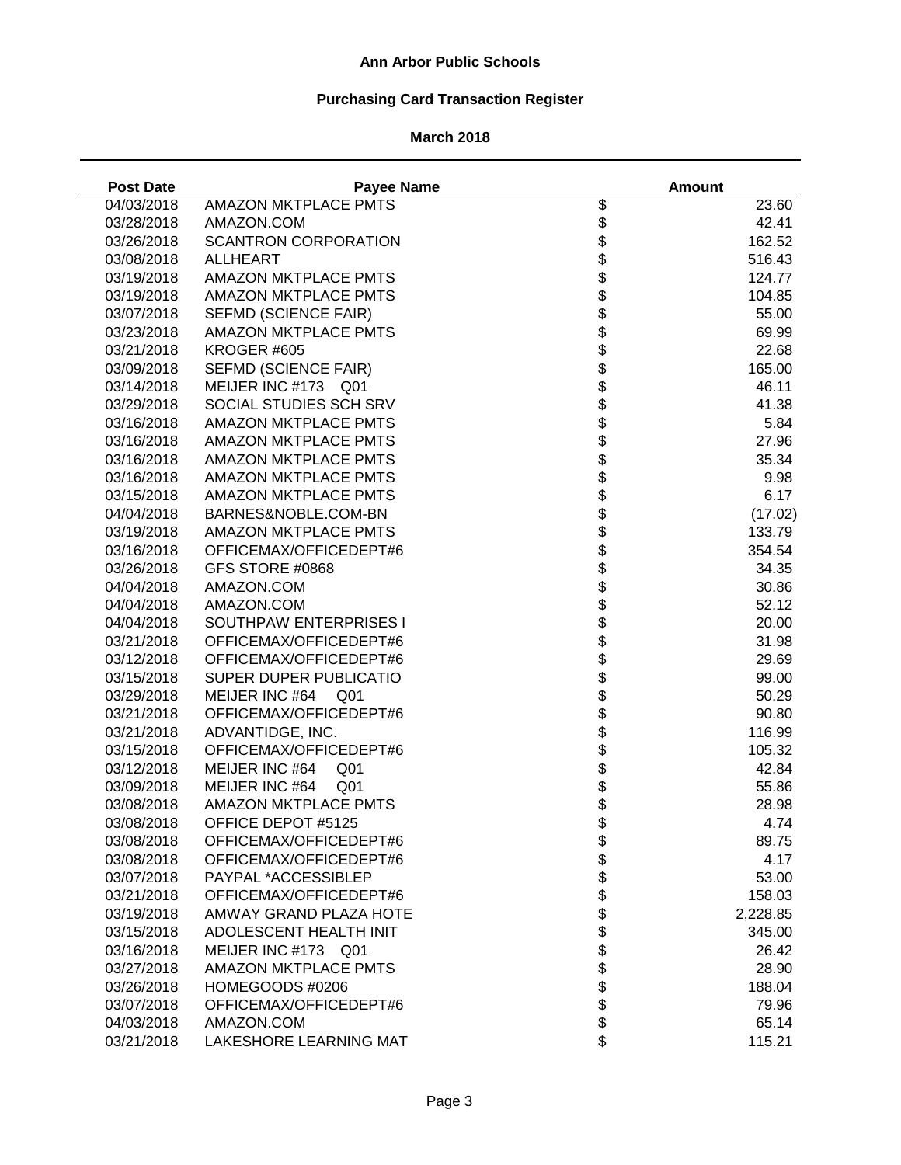# **Purchasing Card Transaction Register**

| <b>Post Date</b> | <b>Payee Name</b>                 |                          | <b>Amount</b> |
|------------------|-----------------------------------|--------------------------|---------------|
| 04/03/2018       | <b>AMAZON MKTPLACE PMTS</b>       | \$                       | 23.60         |
| 03/28/2018       | AMAZON.COM                        | \$                       | 42.41         |
| 03/26/2018       | <b>SCANTRON CORPORATION</b>       | \$                       | 162.52        |
| 03/08/2018       | <b>ALLHEART</b>                   | \$                       | 516.43        |
| 03/19/2018       | <b>AMAZON MKTPLACE PMTS</b>       |                          | 124.77        |
| 03/19/2018       | <b>AMAZON MKTPLACE PMTS</b>       |                          | 104.85        |
| 03/07/2018       | SEFMD (SCIENCE FAIR)              |                          | 55.00         |
| 03/23/2018       | <b>AMAZON MKTPLACE PMTS</b>       |                          | 69.99         |
| 03/21/2018       | KROGER #605                       |                          | 22.68         |
| 03/09/2018       | SEFMD (SCIENCE FAIR)              | <b>88888888</b>          | 165.00        |
| 03/14/2018       | MEIJER INC #173 Q01               |                          | 46.11         |
| 03/29/2018       | SOCIAL STUDIES SCH SRV            |                          | 41.38         |
| 03/16/2018       | <b>AMAZON MKTPLACE PMTS</b>       |                          | 5.84          |
| 03/16/2018       | <b>AMAZON MKTPLACE PMTS</b>       | \$                       | 27.96         |
| 03/16/2018       | <b>AMAZON MKTPLACE PMTS</b>       | \$                       | 35.34         |
| 03/16/2018       | <b>AMAZON MKTPLACE PMTS</b>       | \$                       | 9.98          |
| 03/15/2018       | <b>AMAZON MKTPLACE PMTS</b>       | \$                       | 6.17          |
| 04/04/2018       | BARNES&NOBLE.COM-BN               |                          | (17.02)       |
| 03/19/2018       | <b>AMAZON MKTPLACE PMTS</b>       |                          | 133.79        |
| 03/16/2018       | OFFICEMAX/OFFICEDEPT#6            |                          | 354.54        |
| 03/26/2018       | GFS STORE #0868                   |                          | 34.35         |
| 04/04/2018       | AMAZON.COM                        |                          | 30.86         |
| 04/04/2018       | AMAZON.COM                        |                          | 52.12         |
| 04/04/2018       | SOUTHPAW ENTERPRISES I            | <b>8888888888888</b>     | 20.00         |
| 03/21/2018       | OFFICEMAX/OFFICEDEPT#6            |                          | 31.98         |
| 03/12/2018       | OFFICEMAX/OFFICEDEPT#6            |                          | 29.69         |
| 03/15/2018       | SUPER DUPER PUBLICATIO            |                          | 99.00         |
| 03/29/2018       | MEIJER INC #64<br>Q <sub>01</sub> |                          | 50.29         |
| 03/21/2018       | OFFICEMAX/OFFICEDEPT#6            |                          | 90.80         |
| 03/21/2018       | ADVANTIDGE, INC.                  |                          | 116.99        |
| 03/15/2018       | OFFICEMAX/OFFICEDEPT#6            | \$                       | 105.32        |
| 03/12/2018       | MEIJER INC #64<br>Q <sub>01</sub> | \$                       | 42.84         |
| 03/09/2018       | MEIJER INC #64<br>Q <sub>01</sub> | \$                       | 55.86         |
| 03/08/2018       | <b>AMAZON MKTPLACE PMTS</b>       | \$                       | 28.98         |
| 03/08/2018       | OFFICE DEPOT #5125                | \$                       | 4.74          |
| 03/08/2018       | OFFICEMAX/OFFICEDEPT#6            |                          | 89.75         |
| 03/08/2018       | OFFICEMAX/OFFICEDEPT#6            |                          | 4.17          |
| 03/07/2018       | PAYPAL *ACCESSIBLEP               |                          | 53.00         |
| 03/21/2018       | OFFICEMAX/OFFICEDEPT#6            |                          | 158.03        |
| 03/19/2018       | AMWAY GRAND PLAZA HOTE            |                          | 2,228.85      |
| 03/15/2018       | ADOLESCENT HEALTH INIT            |                          | 345.00        |
| 03/16/2018       | MEIJER INC #173 Q01               |                          | 26.42         |
| 03/27/2018       | <b>AMAZON MKTPLACE PMTS</b>       | \$\$\$\$\$\$\$\$\$\$\$\$ | 28.90         |
|                  | HOMEGOODS #0206                   |                          | 188.04        |
| 03/26/2018       |                                   |                          |               |
| 03/07/2018       | OFFICEMAX/OFFICEDEPT#6            |                          | 79.96         |
| 04/03/2018       | AMAZON.COM                        |                          | 65.14         |
| 03/21/2018       | LAKESHORE LEARNING MAT            | \$                       | 115.21        |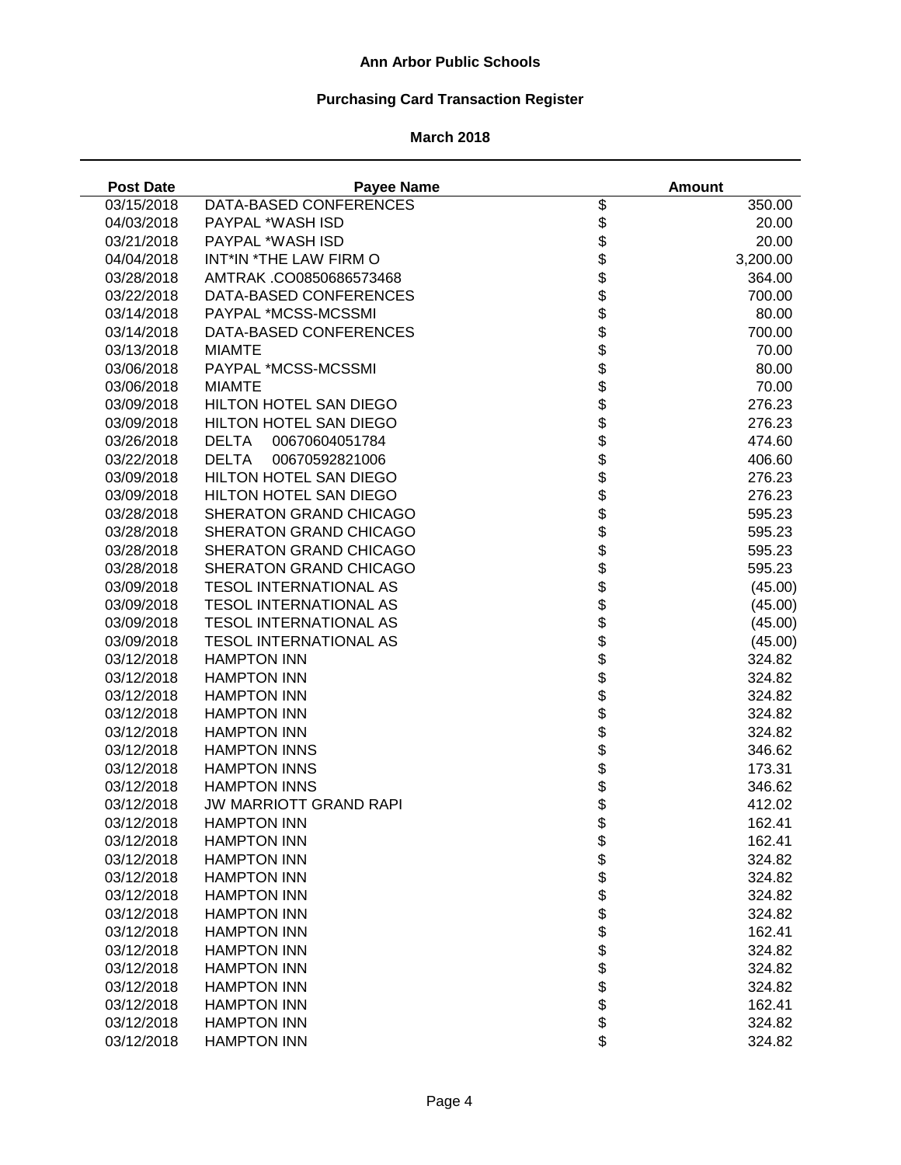# **Purchasing Card Transaction Register**

| <b>Post Date</b> | <b>Payee Name</b>              |                            | <b>Amount</b> |
|------------------|--------------------------------|----------------------------|---------------|
| 03/15/2018       | DATA-BASED CONFERENCES         | \$                         | 350.00        |
| 04/03/2018       | PAYPAL *WASH ISD               | \$                         | 20.00         |
| 03/21/2018       | PAYPAL *WASH ISD               | \$                         | 20.00         |
| 04/04/2018       | INT*IN *THE LAW FIRM O         | \$                         | 3,200.00      |
| 03/28/2018       | AMTRAK .CO0850686573468        |                            | 364.00        |
| 03/22/2018       | DATA-BASED CONFERENCES         |                            | 700.00        |
| 03/14/2018       | PAYPAL *MCSS-MCSSMI            |                            | 80.00         |
| 03/14/2018       | DATA-BASED CONFERENCES         |                            | 700.00        |
| 03/13/2018       | <b>MIAMTE</b>                  |                            | 70.00         |
| 03/06/2018       | PAYPAL *MCSS-MCSSMI            |                            | 80.00         |
| 03/06/2018       | <b>MIAMTE</b>                  | <b>88888888</b>            | 70.00         |
| 03/09/2018       | HILTON HOTEL SAN DIEGO         |                            | 276.23        |
| 03/09/2018       | HILTON HOTEL SAN DIEGO         |                            | 276.23        |
| 03/26/2018       | <b>DELTA</b><br>00670604051784 | \$                         | 474.60        |
| 03/22/2018       | <b>DELTA</b><br>00670592821006 | \$                         | 406.60        |
| 03/09/2018       | HILTON HOTEL SAN DIEGO         | \$                         | 276.23        |
| 03/09/2018       | HILTON HOTEL SAN DIEGO         | \$                         | 276.23        |
| 03/28/2018       | SHERATON GRAND CHICAGO         | \$                         | 595.23        |
| 03/28/2018       | SHERATON GRAND CHICAGO         |                            | 595.23        |
| 03/28/2018       | SHERATON GRAND CHICAGO         |                            | 595.23        |
| 03/28/2018       | SHERATON GRAND CHICAGO         |                            | 595.23        |
| 03/09/2018       | <b>TESOL INTERNATIONAL AS</b>  |                            | (45.00)       |
| 03/09/2018       | <b>TESOL INTERNATIONAL AS</b>  |                            | (45.00)       |
| 03/09/2018       | <b>TESOL INTERNATIONAL AS</b>  | <b>おおままままままま</b>           | (45.00)       |
| 03/09/2018       | <b>TESOL INTERNATIONAL AS</b>  |                            | (45.00)       |
| 03/12/2018       | <b>HAMPTON INN</b>             |                            | 324.82        |
| 03/12/2018       | <b>HAMPTON INN</b>             |                            | 324.82        |
| 03/12/2018       | <b>HAMPTON INN</b>             |                            | 324.82        |
| 03/12/2018       | <b>HAMPTON INN</b>             |                            | 324.82        |
| 03/12/2018       | <b>HAMPTON INN</b>             | \$                         | 324.82        |
| 03/12/2018       | <b>HAMPTON INNS</b>            | \$                         | 346.62        |
| 03/12/2018       | <b>HAMPTON INNS</b>            | \$                         | 173.31        |
| 03/12/2018       | <b>HAMPTON INNS</b>            | \$                         | 346.62        |
| 03/12/2018       | <b>JW MARRIOTT GRAND RAPI</b>  | \$                         | 412.02        |
| 03/12/2018       | <b>HAMPTON INN</b>             | \$                         | 162.41        |
| 03/12/2018       | <b>HAMPTON INN</b>             |                            | 162.41        |
| 03/12/2018       | <b>HAMPTON INN</b>             |                            | 324.82        |
| 03/12/2018       | <b>HAMPTON INN</b>             |                            | 324.82        |
| 03/12/2018       | <b>HAMPTON INN</b>             |                            | 324.82        |
| 03/12/2018       | <b>HAMPTON INN</b>             |                            | 324.82        |
| 03/12/2018       | <b>HAMPTON INN</b>             |                            | 162.41        |
| 03/12/2018       | <b>HAMPTON INN</b>             |                            | 324.82        |
| 03/12/2018       | <b>HAMPTON INN</b>             | <b>a a a a a a a a a a</b> | 324.82        |
| 03/12/2018       | <b>HAMPTON INN</b>             |                            | 324.82        |
| 03/12/2018       | <b>HAMPTON INN</b>             |                            | 162.41        |
| 03/12/2018       | <b>HAMPTON INN</b>             |                            | 324.82        |
| 03/12/2018       | <b>HAMPTON INN</b>             | \$                         | 324.82        |
|                  |                                |                            |               |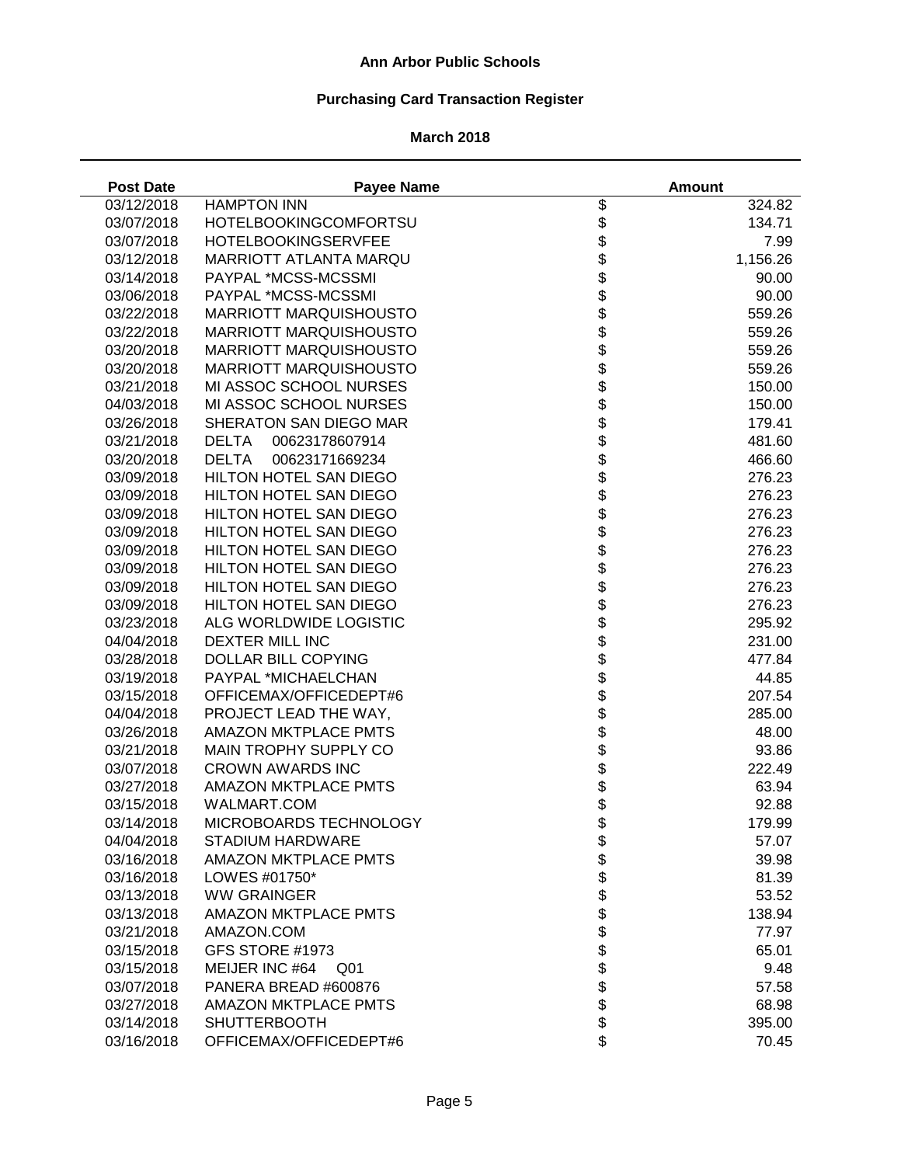# **Purchasing Card Transaction Register**

| <b>Post Date</b> | <b>Payee Name</b>              |                               | <b>Amount</b> |
|------------------|--------------------------------|-------------------------------|---------------|
| 03/12/2018       | <b>HAMPTON INN</b>             | \$                            | 324.82        |
| 03/07/2018       | <b>HOTELBOOKINGCOMFORTSU</b>   | \$                            | 134.71        |
| 03/07/2018       | HOTELBOOKINGSERVFEE            |                               | 7.99          |
| 03/12/2018       | <b>MARRIOTT ATLANTA MARQU</b>  | <b>88888888</b>               | 1,156.26      |
| 03/14/2018       | PAYPAL *MCSS-MCSSMI            |                               | 90.00         |
| 03/06/2018       | PAYPAL *MCSS-MCSSMI            |                               | 90.00         |
| 03/22/2018       | <b>MARRIOTT MARQUISHOUSTO</b>  |                               | 559.26        |
| 03/22/2018       | <b>MARRIOTT MARQUISHOUSTO</b>  |                               | 559.26        |
| 03/20/2018       | <b>MARRIOTT MARQUISHOUSTO</b>  |                               | 559.26        |
| 03/20/2018       | <b>MARRIOTT MARQUISHOUSTO</b>  |                               | 559.26        |
| 03/21/2018       | MI ASSOC SCHOOL NURSES         |                               | 150.00        |
| 04/03/2018       | MI ASSOC SCHOOL NURSES         | \$                            | 150.00        |
| 03/26/2018       | SHERATON SAN DIEGO MAR         | \$                            | 179.41        |
| 03/21/2018       | <b>DELTA</b><br>00623178607914 | \$                            | 481.60        |
| 03/20/2018       | <b>DELTA</b><br>00623171669234 |                               | 466.60        |
| 03/09/2018       | HILTON HOTEL SAN DIEGO         |                               | 276.23        |
| 03/09/2018       | HILTON HOTEL SAN DIEGO         |                               | 276.23        |
| 03/09/2018       | HILTON HOTEL SAN DIEGO         |                               | 276.23        |
| 03/09/2018       | <b>HILTON HOTEL SAN DIEGO</b>  |                               | 276.23        |
| 03/09/2018       | HILTON HOTEL SAN DIEGO         |                               | 276.23        |
| 03/09/2018       | HILTON HOTEL SAN DIEGO         |                               | 276.23        |
| 03/09/2018       | HILTON HOTEL SAN DIEGO         |                               | 276.23        |
| 03/09/2018       | HILTON HOTEL SAN DIEGO         |                               | 276.23        |
| 03/23/2018       | ALG WORLDWIDE LOGISTIC         | <b>8888888888888888888888</b> | 295.92        |
| 04/04/2018       | DEXTER MILL INC                |                               | 231.00        |
| 03/28/2018       | DOLLAR BILL COPYING            |                               | 477.84        |
| 03/19/2018       | PAYPAL *MICHAELCHAN            |                               | 44.85         |
| 03/15/2018       | OFFICEMAX/OFFICEDEPT#6         |                               | 207.54        |
| 04/04/2018       | PROJECT LEAD THE WAY,          | \$                            | 285.00        |
| 03/26/2018       | <b>AMAZON MKTPLACE PMTS</b>    | \$                            | 48.00         |
| 03/21/2018       | MAIN TROPHY SUPPLY CO          | \$                            | 93.86         |
| 03/07/2018       | <b>CROWN AWARDS INC</b>        | \$                            | 222.49        |
| 03/27/2018       | <b>AMAZON MKTPLACE PMTS</b>    | \$                            | 63.94         |
| 03/15/2018       | WALMART.COM                    | \$                            | 92.88         |
| 03/14/2018       | MICROBOARDS TECHNOLOGY         | \$                            | 179.99        |
| 04/04/2018       | <b>STADIUM HARDWARE</b>        |                               | 57.07         |
| 03/16/2018       | <b>AMAZON MKTPLACE PMTS</b>    |                               | 39.98         |
| 03/16/2018       | LOWES #01750*                  |                               | 81.39         |
| 03/13/2018       | <b>WW GRAINGER</b>             |                               | 53.52         |
| 03/13/2018       | <b>AMAZON MKTPLACE PMTS</b>    |                               | 138.94        |
| 03/21/2018       | AMAZON.COM                     |                               | 77.97         |
| 03/15/2018       | GFS STORE #1973                |                               | 65.01         |
| 03/15/2018       | MEIJER INC #64<br>Q01          | <b>まままままままま</b>               | 9.48          |
| 03/07/2018       | PANERA BREAD #600876           |                               | 57.58         |
| 03/27/2018       | <b>AMAZON MKTPLACE PMTS</b>    |                               | 68.98         |
| 03/14/2018       | <b>SHUTTERBOOTH</b>            | \$                            | 395.00        |
| 03/16/2018       | OFFICEMAX/OFFICEDEPT#6         | \$                            | 70.45         |
|                  |                                |                               |               |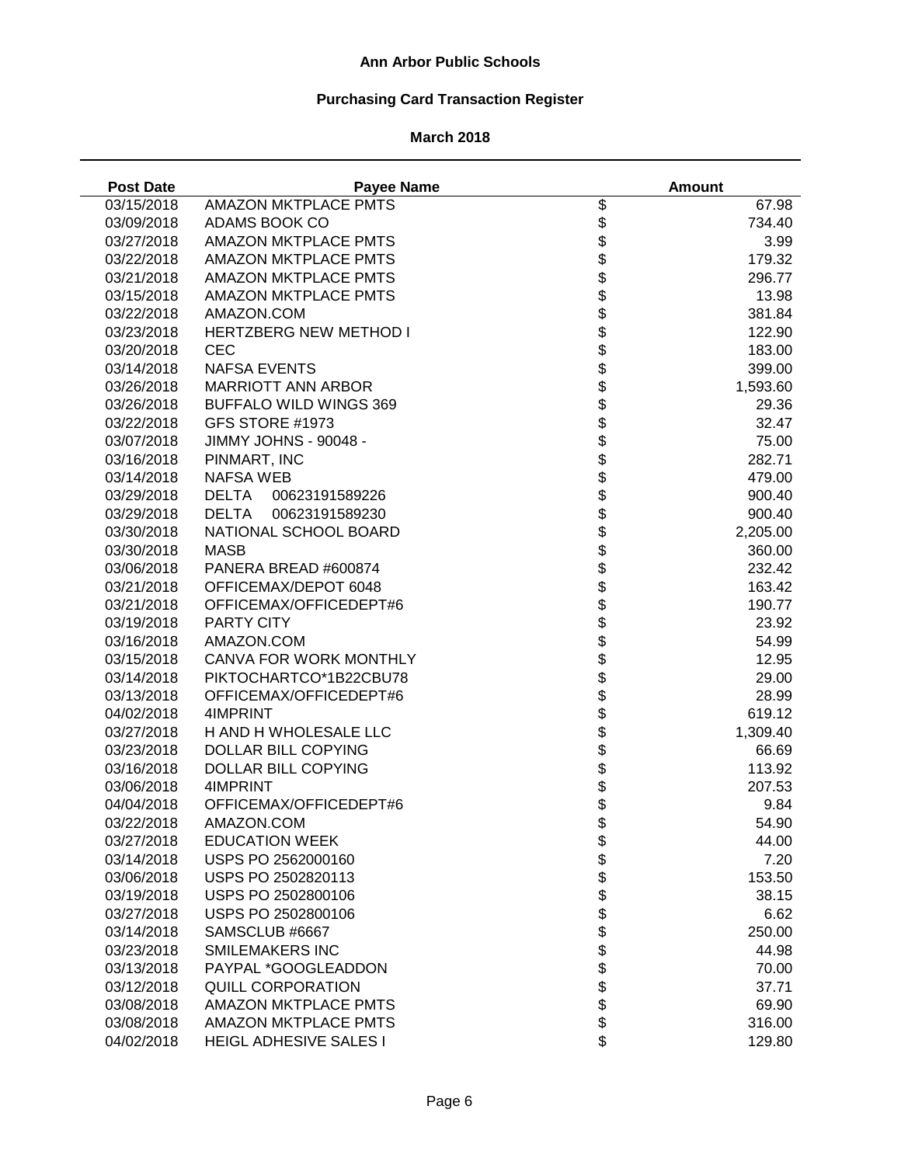# **Purchasing Card Transaction Register**

| <b>Post Date</b> | <b>Payee Name</b>              |                          | <b>Amount</b> |
|------------------|--------------------------------|--------------------------|---------------|
| 03/15/2018       | <b>AMAZON MKTPLACE PMTS</b>    | \$                       | 67.98         |
| 03/09/2018       | ADAMS BOOK CO                  | \$                       | 734.40        |
| 03/27/2018       | <b>AMAZON MKTPLACE PMTS</b>    | \$                       | 3.99          |
| 03/22/2018       | <b>AMAZON MKTPLACE PMTS</b>    |                          | 179.32        |
| 03/21/2018       | <b>AMAZON MKTPLACE PMTS</b>    | <b>888888888</b>         | 296.77        |
| 03/15/2018       | <b>AMAZON MKTPLACE PMTS</b>    |                          | 13.98         |
| 03/22/2018       | AMAZON.COM                     |                          | 381.84        |
| 03/23/2018       | <b>HERTZBERG NEW METHOD I</b>  |                          | 122.90        |
| 03/20/2018       | <b>CEC</b>                     |                          | 183.00        |
| 03/14/2018       | <b>NAFSA EVENTS</b>            |                          | 399.00        |
| 03/26/2018       | <b>MARRIOTT ANN ARBOR</b>      |                          | 1,593.60      |
| 03/26/2018       | <b>BUFFALO WILD WINGS 369</b>  |                          | 29.36         |
| 03/22/2018       | GFS STORE #1973                |                          | 32.47         |
| 03/07/2018       | JIMMY JOHNS - 90048 -          | \$                       | 75.00         |
| 03/16/2018       | PINMART, INC                   | \$                       | 282.71        |
| 03/14/2018       | <b>NAFSA WEB</b>               | \$                       | 479.00        |
| 03/29/2018       | <b>DELTA</b><br>00623191589226 | \$                       | 900.40        |
| 03/29/2018       | <b>DELTA</b><br>00623191589230 |                          | 900.40        |
| 03/30/2018       | NATIONAL SCHOOL BOARD          |                          | 2,205.00      |
| 03/30/2018       | <b>MASB</b>                    |                          | 360.00        |
| 03/06/2018       | PANERA BREAD #600874           |                          | 232.42        |
| 03/21/2018       | OFFICEMAX/DEPOT 6048           |                          | 163.42        |
| 03/21/2018       | OFFICEMAX/OFFICEDEPT#6         |                          | 190.77        |
| 03/19/2018       | PARTY CITY                     | <b>金まままままままままま</b>       | 23.92         |
| 03/16/2018       | AMAZON.COM                     |                          | 54.99         |
| 03/15/2018       | CANVA FOR WORK MONTHLY         |                          | 12.95         |
| 03/14/2018       | PIKTOCHARTCO*1B22CBU78         |                          | 29.00         |
| 03/13/2018       | OFFICEMAX/OFFICEDEPT#6         |                          | 28.99         |
| 04/02/2018       | 4IMPRINT                       |                          | 619.12        |
| 03/27/2018       | H AND H WHOLESALE LLC          |                          | 1,309.40      |
| 03/23/2018       | <b>DOLLAR BILL COPYING</b>     | \$                       | 66.69         |
| 03/16/2018       | DOLLAR BILL COPYING            | \$                       | 113.92        |
| 03/06/2018       | 4IMPRINT                       | \$                       | 207.53        |
| 04/04/2018       | OFFICEMAX/OFFICEDEPT#6         | \$                       | 9.84          |
| 03/22/2018       | AMAZON.COM                     | \$                       | 54.90         |
| 03/27/2018       | <b>EDUCATION WEEK</b>          |                          | 44.00         |
| 03/14/2018       | USPS PO 2562000160             |                          | 7.20          |
| 03/06/2018       | USPS PO 2502820113             |                          | 153.50        |
| 03/19/2018       | USPS PO 2502800106             |                          | 38.15         |
| 03/27/2018       | USPS PO 2502800106             |                          | 6.62          |
| 03/14/2018       | SAMSCLUB #6667                 |                          | 250.00        |
| 03/23/2018       | <b>SMILEMAKERS INC</b>         |                          | 44.98         |
| 03/13/2018       | PAYPAL *GOOGLEADDON            | \$\$\$\$\$\$\$\$\$\$\$\$ | 70.00         |
|                  | QUILL CORPORATION              |                          | 37.71         |
| 03/12/2018       | <b>AMAZON MKTPLACE PMTS</b>    |                          |               |
| 03/08/2018       |                                |                          | 69.90         |
| 03/08/2018       | <b>AMAZON MKTPLACE PMTS</b>    |                          | 316.00        |
| 04/02/2018       | <b>HEIGL ADHESIVE SALES I</b>  | \$                       | 129.80        |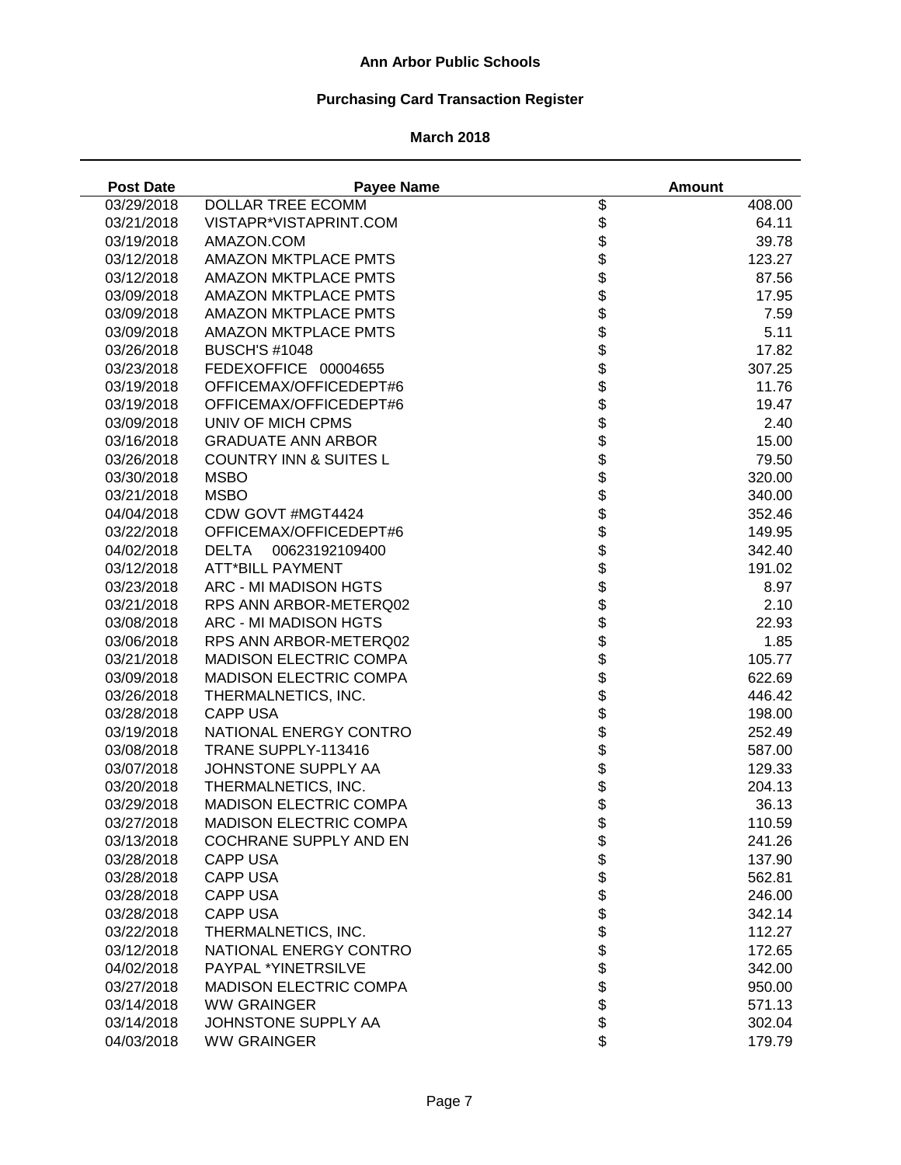# **Purchasing Card Transaction Register**

| <b>Post Date</b> | <b>Payee Name</b>                 |                          | <b>Amount</b> |
|------------------|-----------------------------------|--------------------------|---------------|
| 03/29/2018       | DOLLAR TREE ECOMM                 | $\overline{\mathcal{G}}$ | 408.00        |
| 03/21/2018       | VISTAPR*VISTAPRINT.COM            | \$                       | 64.11         |
| 03/19/2018       | AMAZON.COM                        | \$                       | 39.78         |
| 03/12/2018       | <b>AMAZON MKTPLACE PMTS</b>       | \$                       | 123.27        |
| 03/12/2018       | <b>AMAZON MKTPLACE PMTS</b>       | \$                       | 87.56         |
| 03/09/2018       | <b>AMAZON MKTPLACE PMTS</b>       |                          | 17.95         |
| 03/09/2018       | <b>AMAZON MKTPLACE PMTS</b>       |                          | 7.59          |
| 03/09/2018       | <b>AMAZON MKTPLACE PMTS</b>       |                          | 5.11          |
| 03/26/2018       | <b>BUSCH'S #1048</b>              | <b>8888888</b>           | 17.82         |
| 03/23/2018       | FEDEXOFFICE 00004655              |                          | 307.25        |
| 03/19/2018       | OFFICEMAX/OFFICEDEPT#6            |                          | 11.76         |
| 03/19/2018       | OFFICEMAX/OFFICEDEPT#6            |                          | 19.47         |
| 03/09/2018       | UNIV OF MICH CPMS                 |                          | 2.40          |
| 03/16/2018       | <b>GRADUATE ANN ARBOR</b>         | \$                       | 15.00         |
| 03/26/2018       | <b>COUNTRY INN &amp; SUITES L</b> | \$                       | 79.50         |
| 03/30/2018       | <b>MSBO</b>                       | \$                       | 320.00        |
| 03/21/2018       | <b>MSBO</b>                       | \$                       | 340.00        |
| 04/04/2018       | CDW GOVT #MGT4424                 | \$                       | 352.46        |
| 03/22/2018       | OFFICEMAX/OFFICEDEPT#6            | \$                       | 149.95        |
| 04/02/2018       | 00623192109400<br><b>DELTA</b>    |                          | 342.40        |
| 03/12/2018       | <b>ATT*BILL PAYMENT</b>           |                          | 191.02        |
| 03/23/2018       | ARC - MI MADISON HGTS             |                          | 8.97          |
| 03/21/2018       | RPS ANN ARBOR-METERQ02            |                          | 2.10          |
| 03/08/2018       | ARC - MI MADISON HGTS             |                          | 22.93         |
| 03/06/2018       | RPS ANN ARBOR-METERQ02            | <b>88888888888</b>       | 1.85          |
| 03/21/2018       | <b>MADISON ELECTRIC COMPA</b>     |                          | 105.77        |
| 03/09/2018       | <b>MADISON ELECTRIC COMPA</b>     |                          | 622.69        |
| 03/26/2018       | THERMALNETICS, INC.               |                          | 446.42        |
| 03/28/2018       | <b>CAPP USA</b>                   |                          | 198.00        |
| 03/19/2018       | NATIONAL ENERGY CONTRO            |                          | 252.49        |
| 03/08/2018       | TRANE SUPPLY-113416               |                          | 587.00        |
| 03/07/2018       | JOHNSTONE SUPPLY AA               | \$                       | 129.33        |
| 03/20/2018       | THERMALNETICS, INC.               | \$                       | 204.13        |
| 03/29/2018       | <b>MADISON ELECTRIC COMPA</b>     | \$                       | 36.13         |
| 03/27/2018       | <b>MADISON ELECTRIC COMPA</b>     | \$                       | 110.59        |
| 03/13/2018       | <b>COCHRANE SUPPLY AND EN</b>     | \$                       | 241.26        |
| 03/28/2018       | <b>CAPP USA</b>                   |                          | 137.90        |
| 03/28/2018       | <b>CAPP USA</b>                   |                          | 562.81        |
| 03/28/2018       | <b>CAPP USA</b>                   |                          | 246.00        |
| 03/28/2018       | <b>CAPP USA</b>                   |                          | 342.14        |
| 03/22/2018       | THERMALNETICS, INC.               |                          | 112.27        |
| 03/12/2018       | NATIONAL ENERGY CONTRO            |                          | 172.65        |
| 04/02/2018       | PAYPAL *YINETRSILVE               | <b>888888888</b>         | 342.00        |
| 03/27/2018       | <b>MADISON ELECTRIC COMPA</b>     |                          | 950.00        |
| 03/14/2018       | <b>WW GRAINGER</b>                |                          | 571.13        |
| 03/14/2018       | JOHNSTONE SUPPLY AA               |                          | 302.04        |
| 04/03/2018       | <b>WW GRAINGER</b>                | \$                       | 179.79        |
|                  |                                   |                          |               |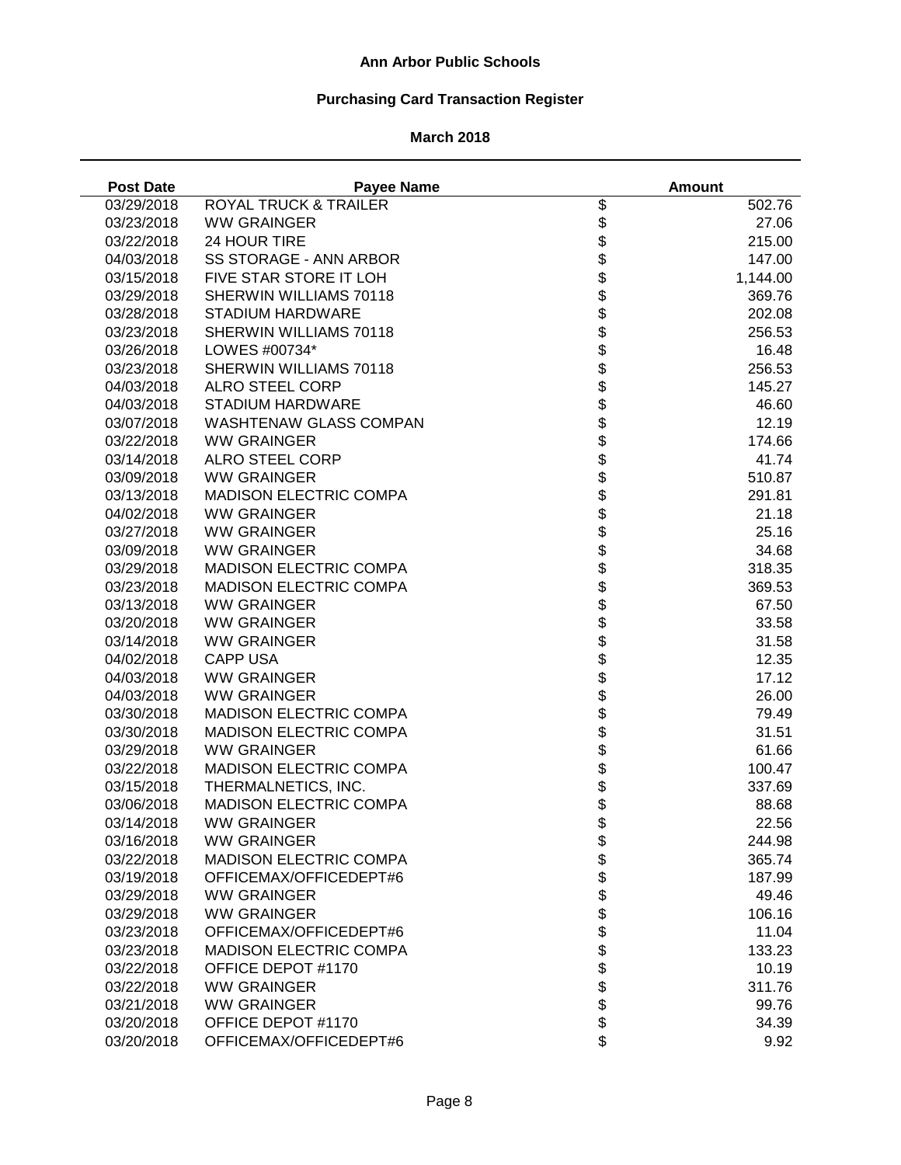# **Purchasing Card Transaction Register**

| <b>Post Date</b> | <b>Payee Name</b>                |                    | <b>Amount</b> |
|------------------|----------------------------------|--------------------|---------------|
| 03/29/2018       | <b>ROYAL TRUCK &amp; TRAILER</b> | \$                 | 502.76        |
| 03/23/2018       | <b>WW GRAINGER</b>               | \$                 | 27.06         |
| 03/22/2018       | 24 HOUR TIRE                     | \$                 | 215.00        |
| 04/03/2018       | <b>SS STORAGE - ANN ARBOR</b>    | \$                 | 147.00        |
| 03/15/2018       | FIVE STAR STORE IT LOH           | \$                 | 1,144.00      |
| 03/29/2018       | SHERWIN WILLIAMS 70118           |                    | 369.76        |
| 03/28/2018       | <b>STADIUM HARDWARE</b>          |                    | 202.08        |
| 03/23/2018       | SHERWIN WILLIAMS 70118           |                    | 256.53        |
| 03/26/2018       | LOWES #00734*                    | <b>8888888</b>     | 16.48         |
| 03/23/2018       | SHERWIN WILLIAMS 70118           |                    | 256.53        |
| 04/03/2018       | <b>ALRO STEEL CORP</b>           |                    | 145.27        |
| 04/03/2018       | <b>STADIUM HARDWARE</b>          |                    | 46.60         |
| 03/07/2018       | <b>WASHTENAW GLASS COMPAN</b>    |                    | 12.19         |
| 03/22/2018       | <b>WW GRAINGER</b>               |                    | 174.66        |
| 03/14/2018       | <b>ALRO STEEL CORP</b>           | \$                 | 41.74         |
| 03/09/2018       | <b>WW GRAINGER</b>               | \$                 | 510.87        |
| 03/13/2018       | <b>MADISON ELECTRIC COMPA</b>    | \$                 | 291.81        |
| 04/02/2018       | <b>WW GRAINGER</b>               | \$                 | 21.18         |
| 03/27/2018       | <b>WW GRAINGER</b>               |                    | 25.16         |
| 03/09/2018       | <b>WW GRAINGER</b>               |                    | 34.68         |
| 03/29/2018       | MADISON ELECTRIC COMPA           |                    | 318.35        |
|                  |                                  |                    |               |
| 03/23/2018       | <b>MADISON ELECTRIC COMPA</b>    |                    | 369.53        |
| 03/13/2018       | <b>WW GRAINGER</b>               |                    | 67.50         |
| 03/20/2018       | <b>WW GRAINGER</b>               | <b>金まままままままままま</b> | 33.58         |
| 03/14/2018       | <b>WW GRAINGER</b>               |                    | 31.58         |
| 04/02/2018       | <b>CAPP USA</b>                  |                    | 12.35         |
| 04/03/2018       | <b>WW GRAINGER</b>               |                    | 17.12         |
| 04/03/2018       | <b>WW GRAINGER</b>               |                    | 26.00         |
| 03/30/2018       | MADISON ELECTRIC COMPA           |                    | 79.49         |
| 03/30/2018       | <b>MADISON ELECTRIC COMPA</b>    |                    | 31.51         |
| 03/29/2018       | <b>WW GRAINGER</b>               |                    | 61.66         |
| 03/22/2018       | <b>MADISON ELECTRIC COMPA</b>    | \$                 | 100.47        |
| 03/15/2018       | THERMALNETICS, INC.              | \$                 | 337.69        |
| 03/06/2018       | <b>MADISON ELECTRIC COMPA</b>    | \$                 | 88.68         |
| 03/14/2018       | <b>WW GRAINGER</b>               | \$                 | 22.56         |
| 03/16/2018       | <b>WW GRAINGER</b>               | \$                 | 244.98        |
| 03/22/2018       | <b>MADISON ELECTRIC COMPA</b>    |                    | 365.74        |
| 03/19/2018       | OFFICEMAX/OFFICEDEPT#6           |                    | 187.99        |
| 03/29/2018       | <b>WW GRAINGER</b>               |                    | 49.46         |
| 03/29/2018       | <b>WW GRAINGER</b>               |                    | 106.16        |
| 03/23/2018       | OFFICEMAX/OFFICEDEPT#6           |                    | 11.04         |
| 03/23/2018       | MADISON ELECTRIC COMPA           | <b>88888888</b>    | 133.23        |
| 03/22/2018       | OFFICE DEPOT #1170               |                    | 10.19         |
| 03/22/2018       | <b>WW GRAINGER</b>               |                    | 311.76        |
| 03/21/2018       | <b>WW GRAINGER</b>               |                    | 99.76         |
| 03/20/2018       | OFFICE DEPOT #1170               |                    | 34.39         |
| 03/20/2018       | OFFICEMAX/OFFICEDEPT#6           | \$                 | 9.92          |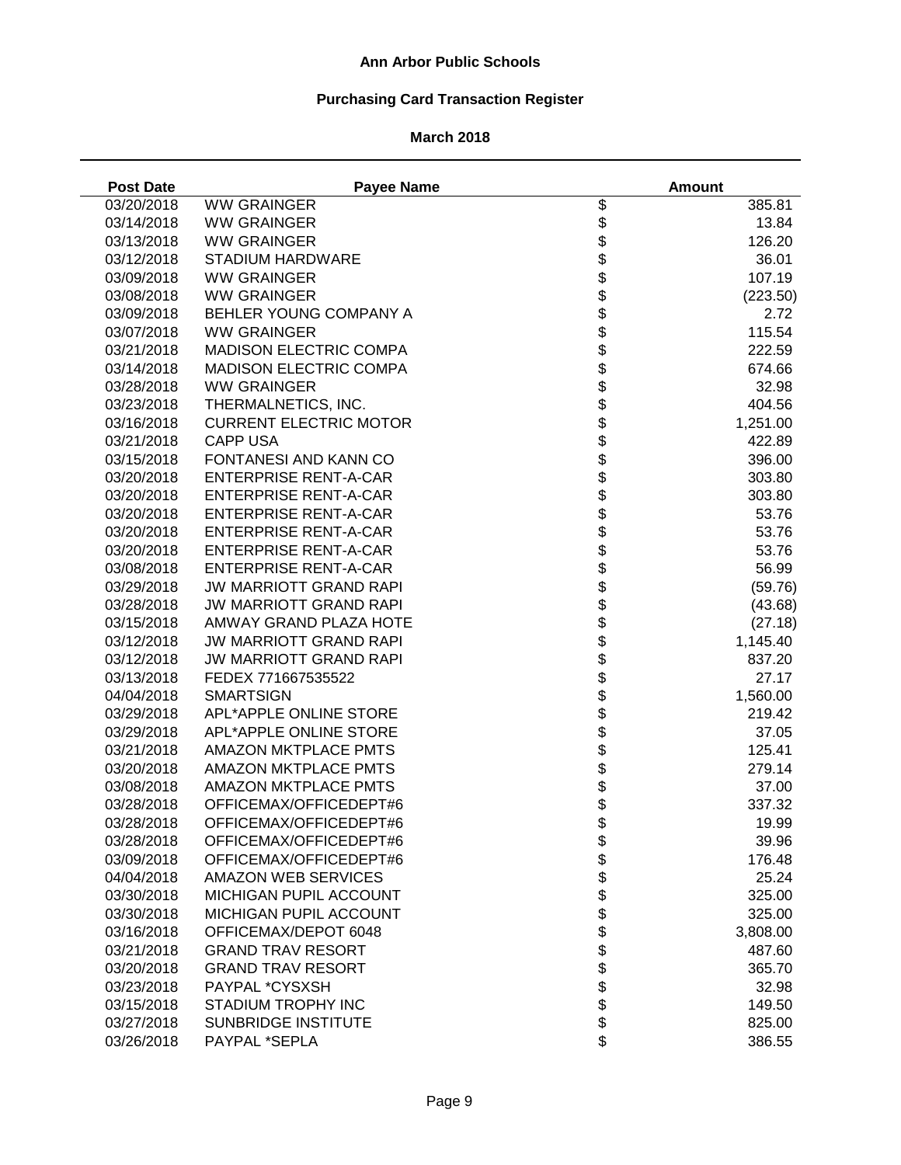# **Purchasing Card Transaction Register**

## **March 2018**

J,

| <b>Post Date</b> | <b>Payee Name</b>             |                           | <b>Amount</b> |
|------------------|-------------------------------|---------------------------|---------------|
| 03/20/2018       | <b>WW GRAINGER</b>            | \$                        | 385.81        |
| 03/14/2018       | <b>WW GRAINGER</b>            | \$                        | 13.84         |
| 03/13/2018       | <b>WW GRAINGER</b>            | \$                        | 126.20        |
| 03/12/2018       | <b>STADIUM HARDWARE</b>       | \$                        | 36.01         |
| 03/09/2018       | <b>WW GRAINGER</b>            | \$                        | 107.19        |
| 03/08/2018       | <b>WW GRAINGER</b>            |                           | (223.50)      |
| 03/09/2018       | BEHLER YOUNG COMPANY A        |                           | 2.72          |
| 03/07/2018       | <b>WW GRAINGER</b>            |                           | 115.54        |
| 03/21/2018       | <b>MADISON ELECTRIC COMPA</b> |                           | 222.59        |
| 03/14/2018       | <b>MADISON ELECTRIC COMPA</b> |                           | 674.66        |
| 03/28/2018       | <b>WW GRAINGER</b>            | <b>8888888</b>            | 32.98         |
| 03/23/2018       | THERMALNETICS, INC.           |                           | 404.56        |
| 03/16/2018       | <b>CURRENT ELECTRIC MOTOR</b> |                           | 1,251.00      |
| 03/21/2018       | <b>CAPP USA</b>               | \$                        | 422.89        |
| 03/15/2018       | FONTANESI AND KANN CO         | \$                        | 396.00        |
| 03/20/2018       | <b>ENTERPRISE RENT-A-CAR</b>  | \$                        | 303.80        |
| 03/20/2018       | <b>ENTERPRISE RENT-A-CAR</b>  | \$                        | 303.80        |
| 03/20/2018       | <b>ENTERPRISE RENT-A-CAR</b>  | \$                        | 53.76         |
| 03/20/2018       | <b>ENTERPRISE RENT-A-CAR</b>  |                           | 53.76         |
| 03/20/2018       | <b>ENTERPRISE RENT-A-CAR</b>  |                           | 53.76         |
| 03/08/2018       | <b>ENTERPRISE RENT-A-CAR</b>  |                           | 56.99         |
| 03/29/2018       | <b>JW MARRIOTT GRAND RAPI</b> |                           | (59.76)       |
| 03/28/2018       | <b>JW MARRIOTT GRAND RAPI</b> |                           | (43.68)       |
| 03/15/2018       | AMWAY GRAND PLAZA HOTE        | <b>\$\$\$\$\$\$\$\$\$</b> | (27.18)       |
| 03/12/2018       | <b>JW MARRIOTT GRAND RAPI</b> |                           | 1,145.40      |
| 03/12/2018       | <b>JW MARRIOTT GRAND RAPI</b> |                           | 837.20        |
| 03/13/2018       | FEDEX 771667535522            |                           | 27.17         |
| 04/04/2018       | <b>SMARTSIGN</b>              |                           | 1,560.00      |
| 03/29/2018       | APL*APPLE ONLINE STORE        | \$                        | 219.42        |
| 03/29/2018       | APL*APPLE ONLINE STORE        | \$                        | 37.05         |
| 03/21/2018       | <b>AMAZON MKTPLACE PMTS</b>   | \$                        | 125.41        |
| 03/20/2018       | <b>AMAZON MKTPLACE PMTS</b>   | \$                        | 279.14        |
| 03/08/2018       | <b>AMAZON MKTPLACE PMTS</b>   | \$                        | 37.00         |
| 03/28/2018       | OFFICEMAX/OFFICEDEPT#6        | \$                        | 337.32        |
| 03/28/2018       | OFFICEMAX/OFFICEDEPT#6        | \$                        | 19.99         |
| 03/28/2018       | OFFICEMAX/OFFICEDEPT#6        |                           | 39.96         |
| 03/09/2018       | OFFICEMAX/OFFICEDEPT#6        |                           | 176.48        |
| 04/04/2018       | <b>AMAZON WEB SERVICES</b>    |                           | 25.24         |
| 03/30/2018       | MICHIGAN PUPIL ACCOUNT        |                           | 325.00        |
| 03/30/2018       | MICHIGAN PUPIL ACCOUNT        |                           | 325.00        |
| 03/16/2018       | OFFICEMAX/DEPOT 6048          |                           | 3,808.00      |
| 03/21/2018       | <b>GRAND TRAV RESORT</b>      |                           | 487.60        |
| 03/20/2018       | <b>GRAND TRAV RESORT</b>      | <b>8888888888</b>         | 365.70        |
| 03/23/2018       | PAYPAL *CYSXSH                |                           | 32.98         |
| 03/15/2018       | <b>STADIUM TROPHY INC</b>     |                           | 149.50        |
| 03/27/2018       | <b>SUNBRIDGE INSTITUTE</b>    |                           | 825.00        |
| 03/26/2018       | PAYPAL *SEPLA                 | \$                        | 386.55        |
|                  |                               |                           |               |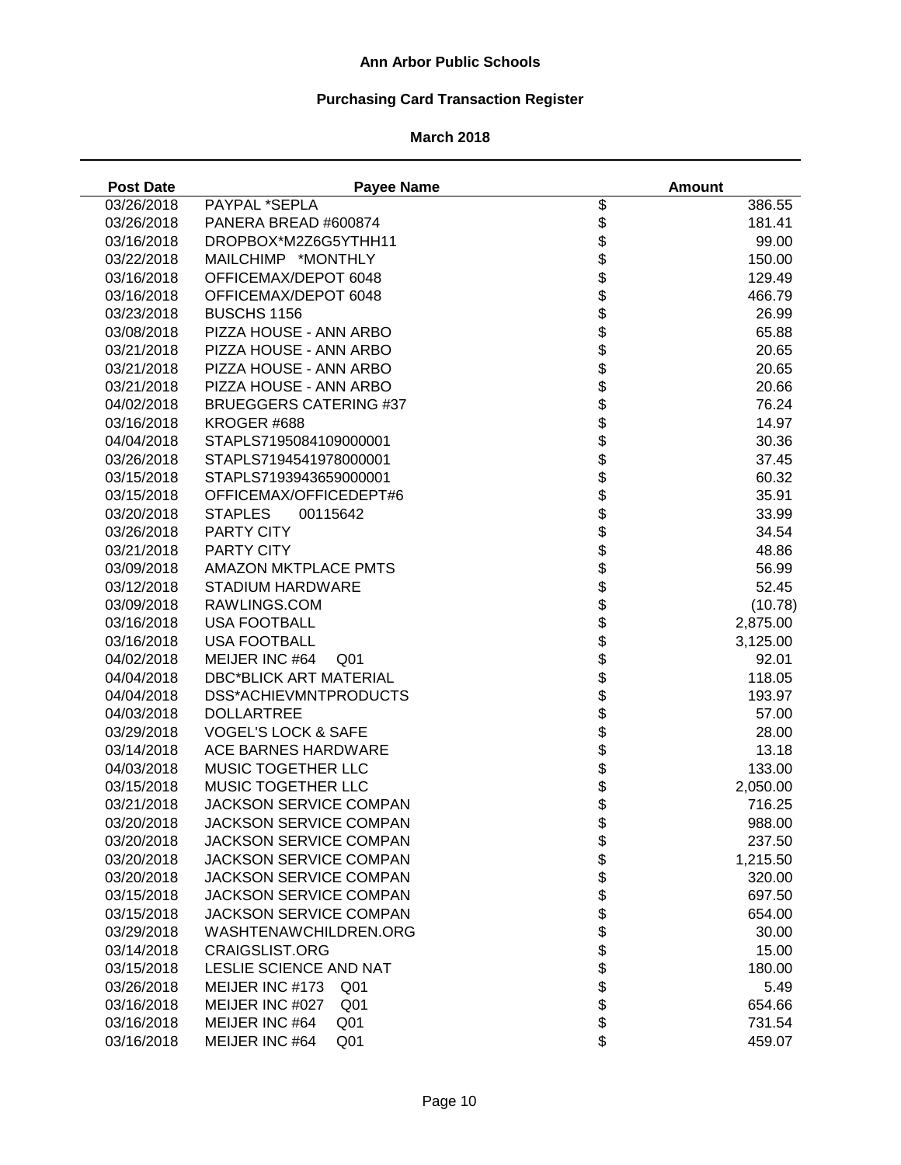# **Purchasing Card Transaction Register**

| <b>Post Date</b> | <b>Payee Name</b>                  |                                 | <b>Amount</b> |
|------------------|------------------------------------|---------------------------------|---------------|
| 03/26/2018       | PAYPAL *SEPLA                      | \$                              | 386.55        |
| 03/26/2018       | PANERA BREAD #600874               | \$                              | 181.41        |
| 03/16/2018       | DROPBOX*M2Z6G5YTHH11               | \$                              | 99.00         |
| 03/22/2018       | MAILCHIMP *MONTHLY                 | \$                              | 150.00        |
| 03/16/2018       | OFFICEMAX/DEPOT 6048               | \$                              | 129.49        |
| 03/16/2018       | OFFICEMAX/DEPOT 6048               |                                 | 466.79        |
| 03/23/2018       | <b>BUSCHS 1156</b>                 |                                 | 26.99         |
| 03/08/2018       | PIZZA HOUSE - ANN ARBO             |                                 | 65.88         |
| 03/21/2018       | PIZZA HOUSE - ANN ARBO             |                                 | 20.65         |
| 03/21/2018       | PIZZA HOUSE - ANN ARBO             |                                 | 20.65         |
| 03/21/2018       | PIZZA HOUSE - ANN ARBO             | <b>8888888</b>                  | 20.66         |
| 04/02/2018       | <b>BRUEGGERS CATERING #37</b>      |                                 | 76.24         |
| 03/16/2018       | KROGER #688                        |                                 | 14.97         |
| 04/04/2018       | STAPLS7195084109000001             | \$                              | 30.36         |
| 03/26/2018       | STAPLS7194541978000001             | \$                              | 37.45         |
| 03/15/2018       | STAPLS7193943659000001             | \$                              | 60.32         |
| 03/15/2018       | OFFICEMAX/OFFICEDEPT#6             | \$                              | 35.91         |
| 03/20/2018       | <b>STAPLES</b><br>00115642         | \$                              | 33.99         |
| 03/26/2018       | <b>PARTY CITY</b>                  | \$                              | 34.54         |
| 03/21/2018       | <b>PARTY CITY</b>                  |                                 | 48.86         |
| 03/09/2018       | <b>AMAZON MKTPLACE PMTS</b>        |                                 | 56.99         |
| 03/12/2018       | <b>STADIUM HARDWARE</b>            | \$\$                            | 52.45         |
| 03/09/2018       | RAWLINGS.COM                       |                                 | (10.78)       |
| 03/16/2018       | <b>USA FOOTBALL</b>                |                                 | 2,875.00      |
| 03/16/2018       | <b>USA FOOTBALL</b>                | <b>8888888</b>                  | 3,125.00      |
| 04/02/2018       | MEIJER INC #64<br>Q <sub>01</sub>  |                                 | 92.01         |
| 04/04/2018       | <b>DBC*BLICK ART MATERIAL</b>      |                                 | 118.05        |
| 04/04/2018       | DSS*ACHIEVMNTPRODUCTS              |                                 | 193.97        |
| 04/03/2018       | <b>DOLLARTREE</b>                  |                                 | 57.00         |
| 03/29/2018       | <b>VOGEL'S LOCK &amp; SAFE</b>     |                                 | 28.00         |
| 03/14/2018       | ACE BARNES HARDWARE                | \$                              | 13.18         |
| 04/03/2018       | MUSIC TOGETHER LLC                 | \$                              | 133.00        |
| 03/15/2018       | MUSIC TOGETHER LLC                 | \$                              | 2,050.00      |
| 03/21/2018       | <b>JACKSON SERVICE COMPAN</b>      | \$                              | 716.25        |
| 03/20/2018       | JACKSON SERVICE COMPAN             | \$                              | 988.00        |
| 03/20/2018       | <b>JACKSON SERVICE COMPAN</b>      |                                 | 237.50        |
| 03/20/2018       | <b>JACKSON SERVICE COMPAN</b>      |                                 | 1,215.50      |
| 03/20/2018       | <b>JACKSON SERVICE COMPAN</b>      |                                 | 320.00        |
| 03/15/2018       | <b>JACKSON SERVICE COMPAN</b>      |                                 | 697.50        |
| 03/15/2018       | <b>JACKSON SERVICE COMPAN</b>      |                                 | 654.00        |
| 03/29/2018       | WASHTENAWCHILDREN.ORG              |                                 | 30.00         |
| 03/14/2018       | <b>CRAIGSLIST.ORG</b>              |                                 | 15.00         |
| 03/15/2018       | <b>LESLIE SCIENCE AND NAT</b>      | <b>\$\$\$\$\$\$\$\$\$\$\$\$</b> | 180.00        |
| 03/26/2018       | MEIJER INC #173<br>Q <sub>01</sub> |                                 | 5.49          |
| 03/16/2018       | MEIJER INC #027<br>Q <sub>01</sub> |                                 | 654.66        |
| 03/16/2018       | MEIJER INC #64<br>Q <sub>01</sub>  |                                 | 731.54        |
| 03/16/2018       | MEIJER INC #64<br>Q <sub>01</sub>  | \$                              | 459.07        |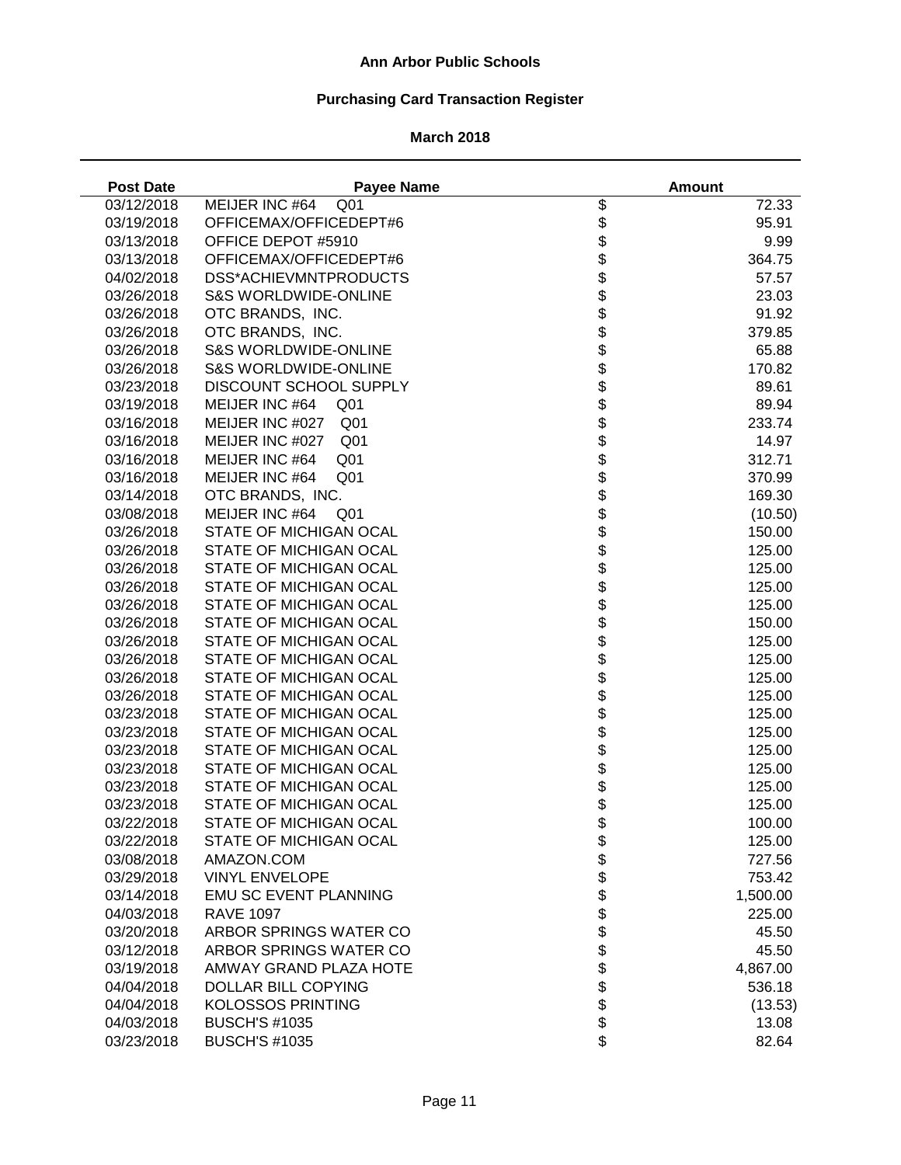# **Purchasing Card Transaction Register**

| <b>Post Date</b>         | <b>Payee Name</b>                  |                 | <b>Amount</b>    |
|--------------------------|------------------------------------|-----------------|------------------|
| 03/12/2018               | MEIJER INC #64<br>Q <sub>01</sub>  | \$              | 72.33            |
| 03/19/2018               | OFFICEMAX/OFFICEDEPT#6             | \$              | 95.91            |
| 03/13/2018               | OFFICE DEPOT #5910                 |                 | 9.99             |
| 03/13/2018               | OFFICEMAX/OFFICEDEPT#6             | <b>88888888</b> | 364.75           |
| 04/02/2018               | DSS*ACHIEVMNTPRODUCTS              |                 | 57.57            |
| 03/26/2018               | <b>S&amp;S WORLDWIDE-ONLINE</b>    |                 | 23.03            |
| 03/26/2018               | OTC BRANDS, INC.                   |                 | 91.92            |
| 03/26/2018               | OTC BRANDS, INC.                   |                 | 379.85           |
| 03/26/2018               | <b>S&amp;S WORLDWIDE-ONLINE</b>    |                 | 65.88            |
| 03/26/2018               | <b>S&amp;S WORLDWIDE-ONLINE</b>    |                 | 170.82           |
| 03/23/2018               | DISCOUNT SCHOOL SUPPLY             |                 | 89.61            |
| 03/19/2018               | MEIJER INC #64<br>Q <sub>01</sub>  |                 | 89.94            |
| 03/16/2018               | MEIJER INC #027<br>Q <sub>01</sub> | \$              | 233.74           |
| 03/16/2018               | MEIJER INC #027<br>Q <sub>01</sub> | \$              | 14.97            |
| 03/16/2018               | MEIJER INC #64<br>Q <sub>01</sub>  | \$              | 312.71           |
| 03/16/2018               | MEIJER INC #64<br>Q <sub>01</sub>  |                 | 370.99           |
| 03/14/2018               | OTC BRANDS, INC.                   |                 | 169.30           |
| 03/08/2018               | MEIJER INC #64<br>Q01              |                 | (10.50)          |
| 03/26/2018               | STATE OF MICHIGAN OCAL             |                 | 150.00           |
| 03/26/2018               | STATE OF MICHIGAN OCAL             |                 | 125.00           |
| 03/26/2018               | STATE OF MICHIGAN OCAL             |                 | 125.00           |
| 03/26/2018               | STATE OF MICHIGAN OCAL             |                 | 125.00           |
| 03/26/2018               | STATE OF MICHIGAN OCAL             |                 | 125.00           |
| 03/26/2018               | STATE OF MICHIGAN OCAL             |                 | 150.00           |
| 03/26/2018               | STATE OF MICHIGAN OCAL             |                 | 125.00           |
| 03/26/2018               | STATE OF MICHIGAN OCAL             |                 | 125.00           |
| 03/26/2018               | STATE OF MICHIGAN OCAL             |                 | 125.00           |
| 03/26/2018               | STATE OF MICHIGAN OCAL             |                 | 125.00           |
| 03/23/2018               | STATE OF MICHIGAN OCAL             |                 | 125.00           |
| 03/23/2018               | STATE OF MICHIGAN OCAL             | \$              | 125.00           |
| 03/23/2018               | STATE OF MICHIGAN OCAL             | \$              | 125.00           |
| 03/23/2018               | STATE OF MICHIGAN OCAL             | \$              | 125.00           |
| 03/23/2018               | STATE OF MICHIGAN OCAL             | \$              | 125.00           |
| 03/23/2018               | STATE OF MICHIGAN OCAL             | \$              | 125.00           |
| 03/22/2018               | STATE OF MICHIGAN OCAL             | \$              |                  |
|                          | STATE OF MICHIGAN OCAL             |                 | 100.00           |
| 03/22/2018<br>03/08/2018 | AMAZON.COM                         | \$              | 125.00<br>727.56 |
|                          | <b>VINYL ENVELOPE</b>              |                 |                  |
| 03/29/2018               | <b>EMU SC EVENT PLANNING</b>       |                 | 753.42           |
| 03/14/2018               |                                    |                 | 1,500.00         |
| 04/03/2018               | <b>RAVE 1097</b>                   |                 | 225.00           |
| 03/20/2018               | ARBOR SPRINGS WATER CO             |                 | 45.50            |
| 03/12/2018               | ARBOR SPRINGS WATER CO             | <b>88888888</b> | 45.50            |
| 03/19/2018               | AMWAY GRAND PLAZA HOTE             |                 | 4,867.00         |
| 04/04/2018               | DOLLAR BILL COPYING                |                 | 536.18           |
| 04/04/2018               | <b>KOLOSSOS PRINTING</b>           |                 | (13.53)          |
| 04/03/2018               | <b>BUSCH'S #1035</b>               | \$              | 13.08            |
| 03/23/2018               | <b>BUSCH'S #1035</b>               | \$              | 82.64            |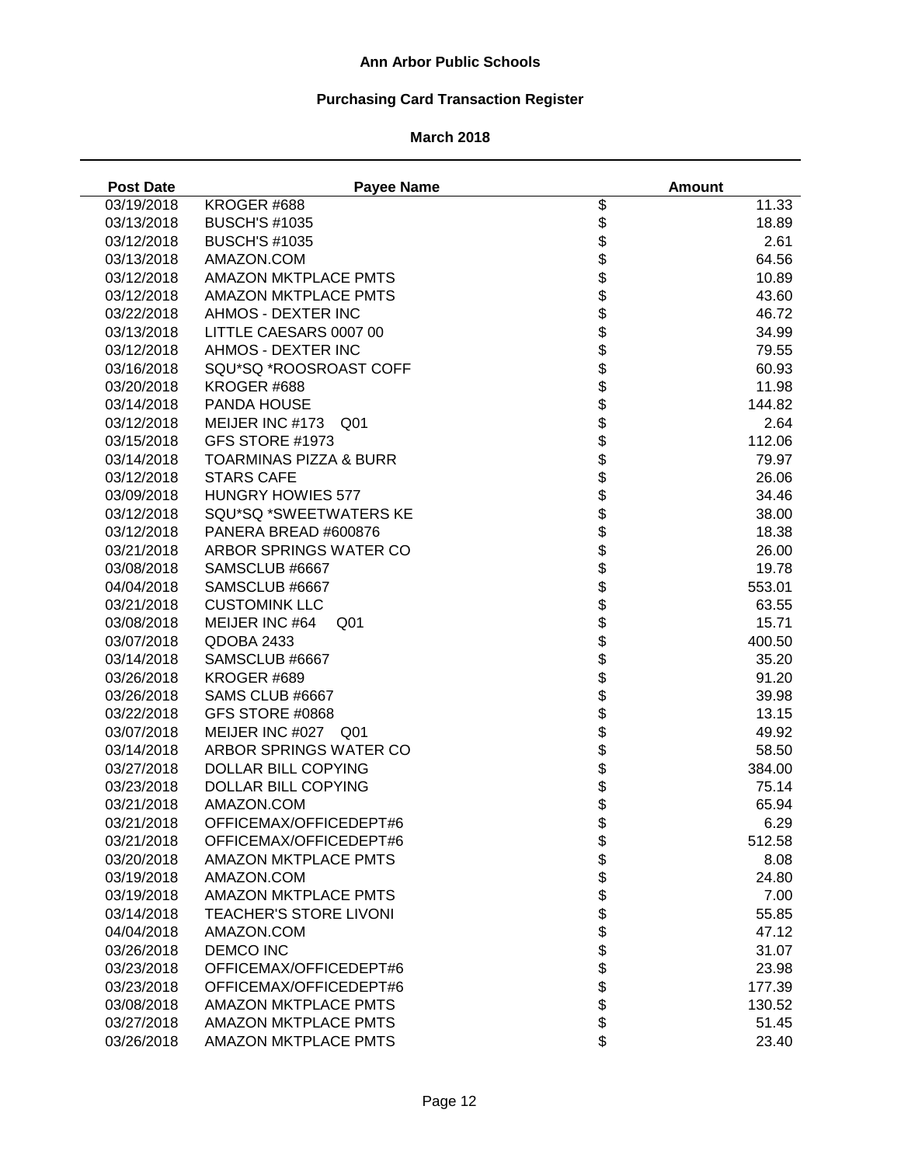# **Purchasing Card Transaction Register**

| <b>Post Date</b> | <b>Payee Name</b>                  |                  | <b>Amount</b> |
|------------------|------------------------------------|------------------|---------------|
| 03/19/2018       | KROGER #688                        | \$               | 11.33         |
| 03/13/2018       | <b>BUSCH'S #1035</b>               | \$               | 18.89         |
| 03/12/2018       | <b>BUSCH'S #1035</b>               | \$               | 2.61          |
| 03/13/2018       | AMAZON.COM                         | \$               | 64.56         |
| 03/12/2018       | <b>AMAZON MKTPLACE PMTS</b>        | \$               | 10.89         |
| 03/12/2018       | <b>AMAZON MKTPLACE PMTS</b>        |                  | 43.60         |
| 03/22/2018       | AHMOS - DEXTER INC                 |                  | 46.72         |
| 03/13/2018       | LITTLE CAESARS 0007 00             |                  | 34.99         |
| 03/12/2018       | AHMOS - DEXTER INC                 | <b>88888888</b>  | 79.55         |
| 03/16/2018       | SQU*SQ *ROOSROAST COFF             |                  | 60.93         |
| 03/20/2018       | KROGER #688                        |                  | 11.98         |
| 03/14/2018       | PANDA HOUSE                        |                  | 144.82        |
| 03/12/2018       | MEIJER INC #173<br>Q <sub>01</sub> |                  | 2.64          |
| 03/15/2018       | GFS STORE #1973                    |                  | 112.06        |
| 03/14/2018       | <b>TOARMINAS PIZZA &amp; BURR</b>  | \$               | 79.97         |
| 03/12/2018       | <b>STARS CAFE</b>                  | \$               | 26.06         |
| 03/09/2018       | <b>HUNGRY HOWIES 577</b>           | \$               | 34.46         |
| 03/12/2018       | SQU*SQ *SWEETWATERS KE             | \$               | 38.00         |
| 03/12/2018       | PANERA BREAD #600876               | \$               | 18.38         |
| 03/21/2018       | ARBOR SPRINGS WATER CO             |                  | 26.00         |
| 03/08/2018       | SAMSCLUB #6667                     | \$               | 19.78         |
| 04/04/2018       | SAMSCLUB #6667                     |                  | 553.01        |
| 03/21/2018       | <b>CUSTOMINK LLC</b>               |                  | 63.55         |
| 03/08/2018       | MEIJER INC #64<br>Q <sub>01</sub>  |                  | 15.71         |
| 03/07/2018       | QDOBA 2433                         | <b>88888888</b>  | 400.50        |
| 03/14/2018       | SAMSCLUB #6667                     |                  | 35.20         |
| 03/26/2018       | KROGER #689                        |                  | 91.20         |
| 03/26/2018       | SAMS CLUB #6667                    |                  | 39.98         |
| 03/22/2018       | GFS STORE #0868                    |                  | 13.15         |
| 03/07/2018       | MEIJER INC #027 Q01                |                  | 49.92         |
| 03/14/2018       | ARBOR SPRINGS WATER CO             | \$               | 58.50         |
| 03/27/2018       | DOLLAR BILL COPYING                | \$               | 384.00        |
| 03/23/2018       | DOLLAR BILL COPYING                | \$               | 75.14         |
| 03/21/2018       | AMAZON.COM                         | \$               | 65.94         |
| 03/21/2018       | OFFICEMAX/OFFICEDEPT#6             | \$               | 6.29          |
| 03/21/2018       | OFFICEMAX/OFFICEDEPT#6             | \$               | 512.58        |
| 03/20/2018       | <b>AMAZON MKTPLACE PMTS</b>        |                  | 8.08          |
| 03/19/2018       | AMAZON.COM                         |                  | 24.80         |
| 03/19/2018       | <b>AMAZON MKTPLACE PMTS</b>        |                  | 7.00          |
| 03/14/2018       | <b>TEACHER'S STORE LIVONI</b>      |                  | 55.85         |
| 04/04/2018       | AMAZON.COM                         |                  | 47.12         |
| 03/26/2018       | <b>DEMCO INC</b>                   |                  | 31.07         |
| 03/23/2018       | OFFICEMAX/OFFICEDEPT#6             | <b>888888888</b> | 23.98         |
| 03/23/2018       | OFFICEMAX/OFFICEDEPT#6             |                  | 177.39        |
| 03/08/2018       | AMAZON MKTPLACE PMTS               |                  | 130.52        |
| 03/27/2018       | <b>AMAZON MKTPLACE PMTS</b>        |                  | 51.45         |
| 03/26/2018       | <b>AMAZON MKTPLACE PMTS</b>        | \$               | 23.40         |
|                  |                                    |                  |               |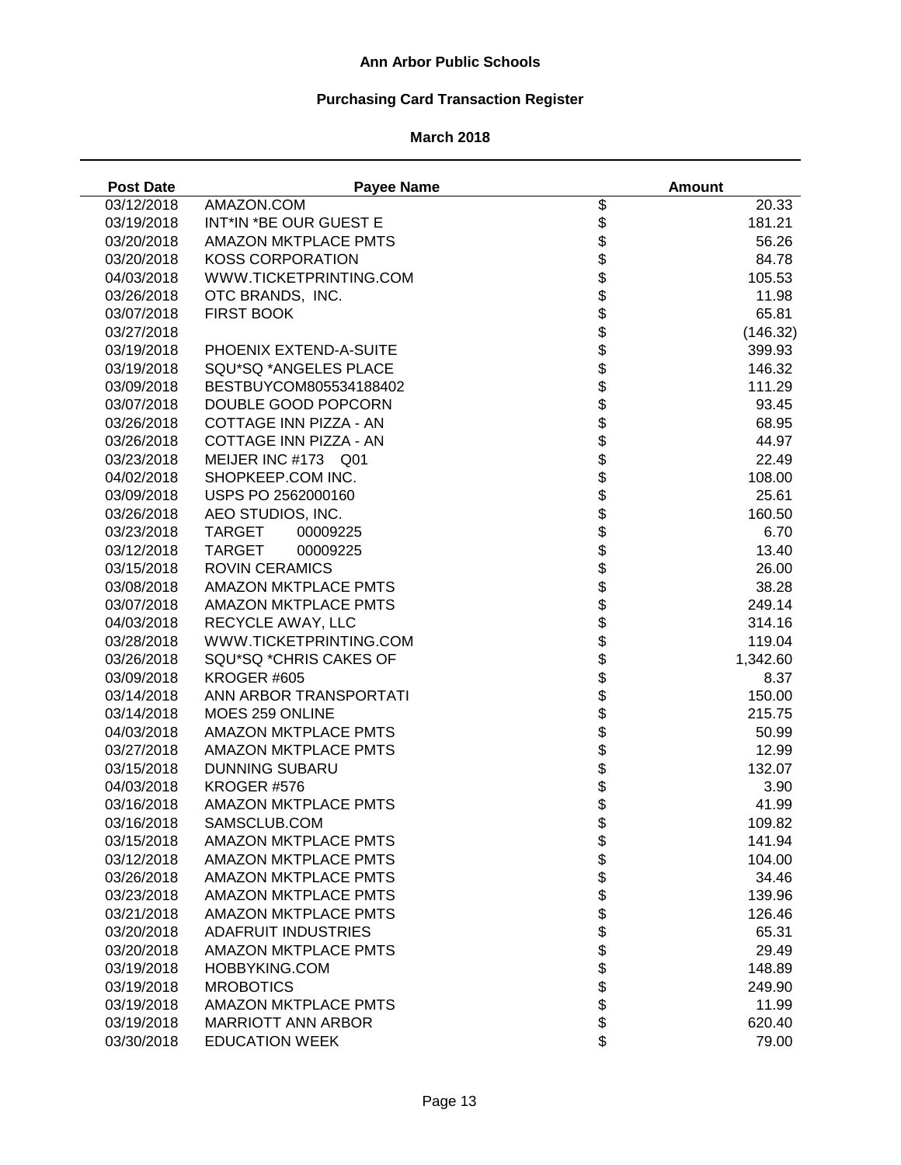# **Purchasing Card Transaction Register**

| <b>Post Date</b> | <b>Payee Name</b>           |                          | <b>Amount</b> |
|------------------|-----------------------------|--------------------------|---------------|
| 03/12/2018       | AMAZON.COM                  |                          | 20.33         |
| 03/19/2018       | INT*IN *BE OUR GUEST E      |                          | 181.21        |
| 03/20/2018       | <b>AMAZON MKTPLACE PMTS</b> |                          | 56.26         |
| 03/20/2018       | <b>KOSS CORPORATION</b>     |                          | 84.78         |
| 04/03/2018       | WWW.TICKETPRINTING.COM      |                          | 105.53        |
| 03/26/2018       | OTC BRANDS, INC.            |                          | 11.98         |
| 03/07/2018       | <b>FIRST BOOK</b>           |                          | 65.81         |
| 03/27/2018       |                             |                          | (146.32)      |
| 03/19/2018       | PHOENIX EXTEND-A-SUITE      |                          | 399.93        |
| 03/19/2018       | SQU*SQ *ANGELES PLACE       |                          | 146.32        |
| 03/09/2018       | BESTBUYCOM805534188402      |                          | 111.29        |
| 03/07/2018       | DOUBLE GOOD POPCORN         |                          | 93.45         |
| 03/26/2018       | COTTAGE INN PIZZA - AN      |                          | 68.95         |
| 03/26/2018       | COTTAGE INN PIZZA - AN      |                          | 44.97         |
| 03/23/2018       | MEIJER INC #173 Q01         |                          | 22.49         |
| 04/02/2018       | SHOPKEEP.COM INC.           |                          | 108.00        |
| 03/09/2018       | USPS PO 2562000160          |                          | 25.61         |
| 03/26/2018       | AEO STUDIOS, INC.           |                          | 160.50        |
| 03/23/2018       | <b>TARGET</b><br>00009225   |                          | 6.70          |
| 03/12/2018       | <b>TARGET</b><br>00009225   |                          | 13.40         |
| 03/15/2018       | <b>ROVIN CERAMICS</b>       |                          | 26.00         |
| 03/08/2018       | AMAZON MKTPLACE PMTS        |                          | 38.28         |
| 03/07/2018       | <b>AMAZON MKTPLACE PMTS</b> |                          | 249.14        |
| 04/03/2018       | RECYCLE AWAY, LLC           |                          | 314.16        |
| 03/28/2018       | WWW.TICKETPRINTING.COM      |                          | 119.04        |
| 03/26/2018       | SQU*SQ *CHRIS CAKES OF      |                          | 1,342.60      |
| 03/09/2018       | KROGER #605                 |                          | 8.37          |
| 03/14/2018       | ANN ARBOR TRANSPORTATI      |                          | 150.00        |
| 03/14/2018       | MOES 259 ONLINE             |                          | 215.75        |
| 04/03/2018       | <b>AMAZON MKTPLACE PMTS</b> |                          | 50.99         |
| 03/27/2018       | <b>AMAZON MKTPLACE PMTS</b> |                          | 12.99         |
| 03/15/2018       | <b>DUNNING SUBARU</b>       |                          | 132.07        |
| 04/03/2018       | KROGER #576                 |                          | 3.90          |
| 03/16/2018       | <b>AMAZON MKTPLACE PMTS</b> |                          | 41.99         |
| 03/16/2018       | SAMSCLUB.COM                |                          | 109.82        |
| 03/15/2018       | <b>AMAZON MKTPLACE PMTS</b> |                          | 141.94        |
| 03/12/2018       | <b>AMAZON MKTPLACE PMTS</b> |                          | 104.00        |
| 03/26/2018       | <b>AMAZON MKTPLACE PMTS</b> |                          | 34.46         |
| 03/23/2018       | <b>AMAZON MKTPLACE PMTS</b> |                          | 139.96        |
| 03/21/2018       | <b>AMAZON MKTPLACE PMTS</b> |                          | 126.46        |
| 03/20/2018       | <b>ADAFRUIT INDUSTRIES</b>  |                          | 65.31         |
| 03/20/2018       | <b>AMAZON MKTPLACE PMTS</b> |                          | 29.49         |
| 03/19/2018       | HOBBYKING.COM               | \$\$\$\$\$\$\$\$\$\$\$\$ | 148.89        |
| 03/19/2018       | <b>MROBOTICS</b>            |                          | 249.90        |
| 03/19/2018       | <b>AMAZON MKTPLACE PMTS</b> |                          | 11.99         |
| 03/19/2018       | <b>MARRIOTT ANN ARBOR</b>   |                          | 620.40        |
| 03/30/2018       | <b>EDUCATION WEEK</b>       | \$                       | 79.00         |
|                  |                             |                          |               |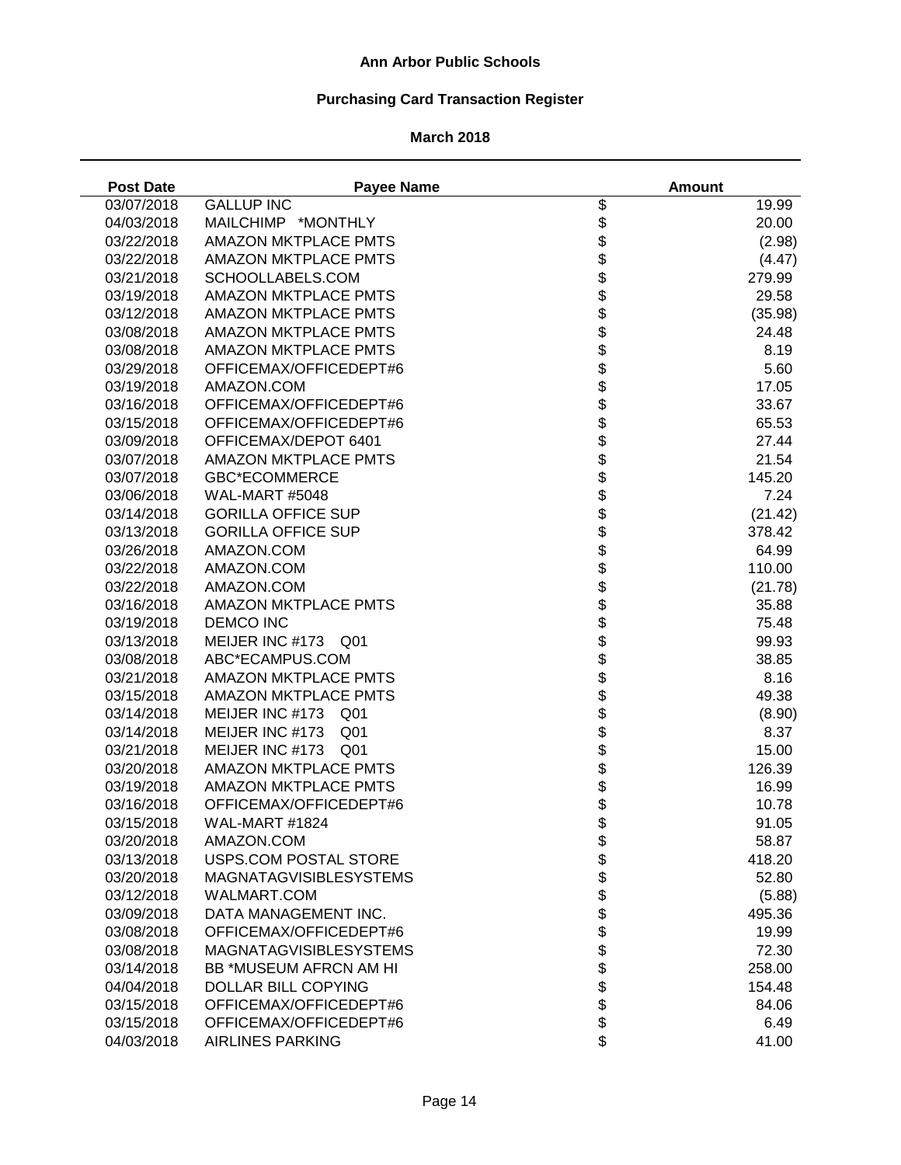# **Purchasing Card Transaction Register**

## **March 2018**

J,

| <b>Post Date</b> | <b>Payee Name</b>                  |                    | <b>Amount</b> |
|------------------|------------------------------------|--------------------|---------------|
| 03/07/2018       | <b>GALLUP INC</b>                  | \$                 | 19.99         |
| 04/03/2018       | MAILCHIMP *MONTHLY                 | \$                 | 20.00         |
| 03/22/2018       | <b>AMAZON MKTPLACE PMTS</b>        |                    | (2.98)        |
| 03/22/2018       | <b>AMAZON MKTPLACE PMTS</b>        | <b>88888888</b>    | (4.47)        |
| 03/21/2018       | SCHOOLLABELS.COM                   |                    | 279.99        |
| 03/19/2018       | <b>AMAZON MKTPLACE PMTS</b>        |                    | 29.58         |
| 03/12/2018       | <b>AMAZON MKTPLACE PMTS</b>        |                    | (35.98)       |
| 03/08/2018       | <b>AMAZON MKTPLACE PMTS</b>        |                    | 24.48         |
| 03/08/2018       | <b>AMAZON MKTPLACE PMTS</b>        |                    | 8.19          |
| 03/29/2018       | OFFICEMAX/OFFICEDEPT#6             |                    | 5.60          |
| 03/19/2018       | AMAZON.COM                         |                    | 17.05         |
| 03/16/2018       | OFFICEMAX/OFFICEDEPT#6             |                    | 33.67         |
| 03/15/2018       | OFFICEMAX/OFFICEDEPT#6             | \$                 | 65.53         |
| 03/09/2018       | OFFICEMAX/DEPOT 6401               | \$                 | 27.44         |
| 03/07/2018       | <b>AMAZON MKTPLACE PMTS</b>        | \$                 | 21.54         |
| 03/07/2018       | <b>GBC*ECOMMERCE</b>               | \$                 | 145.20        |
| 03/06/2018       | WAL-MART #5048                     | \$                 | 7.24          |
| 03/14/2018       | <b>GORILLA OFFICE SUP</b>          |                    | (21.42)       |
| 03/13/2018       | <b>GORILLA OFFICE SUP</b>          |                    | 378.42        |
| 03/26/2018       | AMAZON.COM                         |                    | 64.99         |
| 03/22/2018       | AMAZON.COM                         |                    | 110.00        |
| 03/22/2018       | AMAZON.COM                         |                    | (21.78)       |
| 03/16/2018       | AMAZON MKTPLACE PMTS               |                    | 35.88         |
| 03/19/2018       | <b>DEMCO INC</b>                   | <b>88888888888</b> | 75.48         |
| 03/13/2018       | MEIJER INC #173 Q01                |                    | 99.93         |
| 03/08/2018       | ABC*ECAMPUS.COM                    |                    | 38.85         |
| 03/21/2018       | <b>AMAZON MKTPLACE PMTS</b>        |                    | 8.16          |
|                  | <b>AMAZON MKTPLACE PMTS</b>        |                    |               |
| 03/15/2018       |                                    |                    | 49.38         |
| 03/14/2018       | MEIJER INC #173<br>Q <sub>01</sub> |                    | (8.90)        |
| 03/14/2018       | MEIJER INC #173<br>Q <sub>01</sub> | \$                 | 8.37          |
| 03/21/2018       | MEIJER INC #173<br>Q <sub>01</sub> | \$                 | 15.00         |
| 03/20/2018       | <b>AMAZON MKTPLACE PMTS</b>        | \$                 | 126.39        |
| 03/19/2018       | <b>AMAZON MKTPLACE PMTS</b>        | \$                 | 16.99         |
| 03/16/2018       | OFFICEMAX/OFFICEDEPT#6             | \$<br>\$           | 10.78         |
| 03/15/2018       | WAL-MART #1824                     |                    | 91.05         |
| 03/20/2018       | AMAZON.COM                         |                    | 58.87         |
| 03/13/2018       | <b>USPS.COM POSTAL STORE</b>       |                    | 418.20        |
| 03/20/2018       | <b>MAGNATAGVISIBLESYSTEMS</b>      |                    | 52.80         |
| 03/12/2018       | WALMART.COM                        |                    | (5.88)        |
| 03/09/2018       | DATA MANAGEMENT INC.               |                    | 495.36        |
| 03/08/2018       | OFFICEMAX/OFFICEDEPT#6             |                    | 19.99         |
| 03/08/2018       | <b>MAGNATAGVISIBLESYSTEMS</b>      | <b>88888888888</b> | 72.30         |
| 03/14/2018       | BB *MUSEUM AFRCN AM HI             |                    | 258.00        |
| 04/04/2018       | <b>DOLLAR BILL COPYING</b>         |                    | 154.48        |
| 03/15/2018       | OFFICEMAX/OFFICEDEPT#6             |                    | 84.06         |
| 03/15/2018       | OFFICEMAX/OFFICEDEPT#6             |                    | 6.49          |
| 04/03/2018       | <b>AIRLINES PARKING</b>            | \$                 | 41.00         |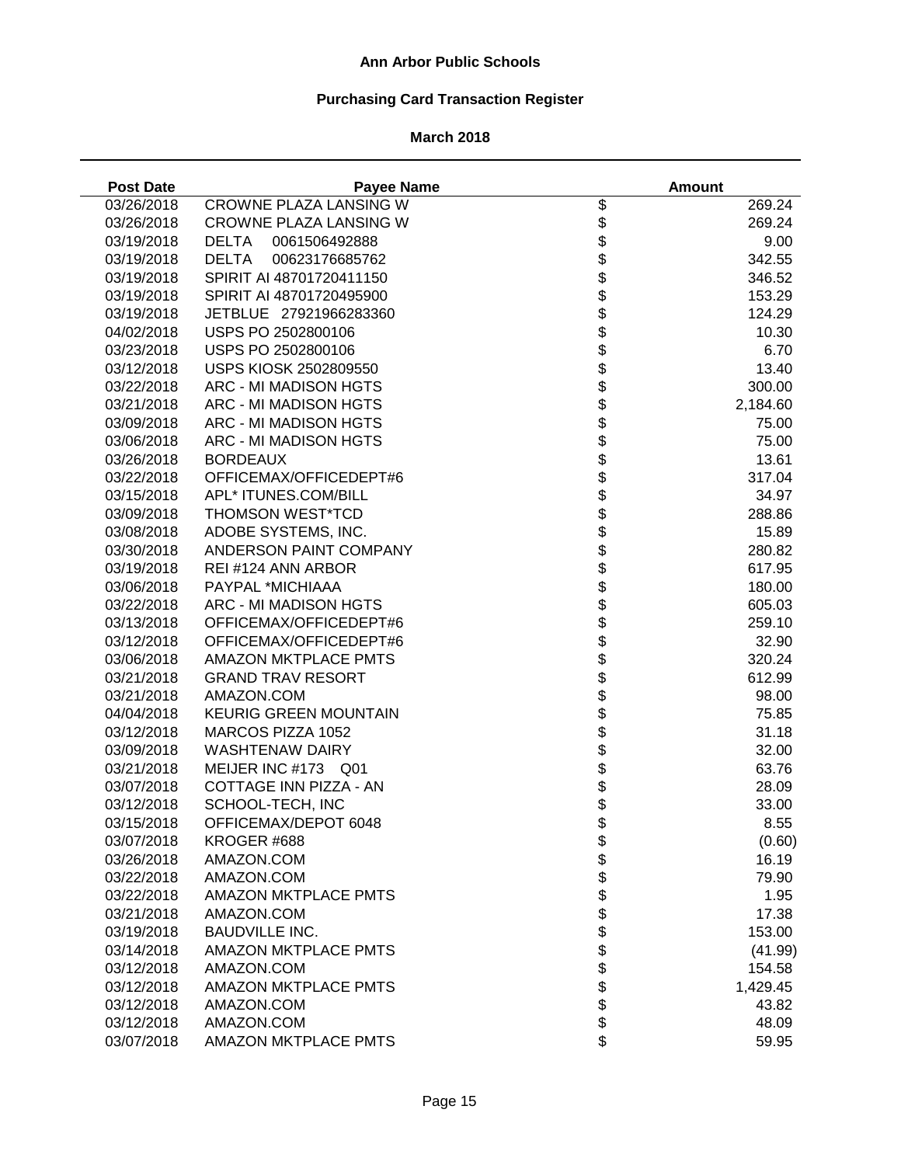# **Purchasing Card Transaction Register**

| <b>Post Date</b> | <b>Payee Name</b>              |                          | <b>Amount</b> |
|------------------|--------------------------------|--------------------------|---------------|
| 03/26/2018       | CROWNE PLAZA LANSING W         | \$                       | 269.24        |
| 03/26/2018       | <b>CROWNE PLAZA LANSING W</b>  | \$                       | 269.24        |
| 03/19/2018       | 0061506492888<br><b>DELTA</b>  | \$                       | 9.00          |
| 03/19/2018       | <b>DELTA</b><br>00623176685762 |                          | 342.55        |
| 03/19/2018       | SPIRIT AI 48701720411150       | <b>88888888</b>          | 346.52        |
| 03/19/2018       | SPIRIT AI 48701720495900       |                          | 153.29        |
| 03/19/2018       | JETBLUE 27921966283360         |                          | 124.29        |
| 04/02/2018       | USPS PO 2502800106             |                          | 10.30         |
| 03/23/2018       | USPS PO 2502800106             |                          | 6.70          |
| 03/12/2018       | USPS KIOSK 2502809550          |                          | 13.40         |
| 03/22/2018       | ARC - MI MADISON HGTS          |                          | 300.00        |
| 03/21/2018       | ARC - MI MADISON HGTS          |                          | 2,184.60      |
| 03/09/2018       | ARC - MI MADISON HGTS          |                          | 75.00         |
| 03/06/2018       | ARC - MI MADISON HGTS          | \$                       | 75.00         |
| 03/26/2018       | <b>BORDEAUX</b>                | \$                       | 13.61         |
| 03/22/2018       | OFFICEMAX/OFFICEDEPT#6         | \$                       | 317.04        |
| 03/15/2018       | APL* ITUNES.COM/BILL           |                          | 34.97         |
| 03/09/2018       | THOMSON WEST*TCD               |                          | 288.86        |
| 03/08/2018       | ADOBE SYSTEMS, INC.            |                          | 15.89         |
| 03/30/2018       | ANDERSON PAINT COMPANY         |                          | 280.82        |
| 03/19/2018       | REI #124 ANN ARBOR             |                          | 617.95        |
| 03/06/2018       | PAYPAL *MICHIAAA               |                          | 180.00        |
| 03/22/2018       | ARC - MI MADISON HGTS          |                          | 605.03        |
| 03/13/2018       | OFFICEMAX/OFFICEDEPT#6         |                          | 259.10        |
| 03/12/2018       | OFFICEMAX/OFFICEDEPT#6         |                          | 32.90         |
| 03/06/2018       | <b>AMAZON MKTPLACE PMTS</b>    | <b>金ままままままままままま</b>      | 320.24        |
| 03/21/2018       | <b>GRAND TRAV RESORT</b>       |                          | 612.99        |
| 03/21/2018       | AMAZON.COM                     |                          |               |
|                  | <b>KEURIG GREEN MOUNTAIN</b>   |                          | 98.00         |
| 04/04/2018       |                                |                          | 75.85         |
| 03/12/2018       | MARCOS PIZZA 1052              |                          | 31.18         |
| 03/09/2018       | <b>WASHTENAW DAIRY</b>         | \$                       | 32.00         |
| 03/21/2018       | MEIJER INC #173 Q01            | \$                       | 63.76         |
| 03/07/2018       | COTTAGE INN PIZZA - AN         | \$                       | 28.09         |
| 03/12/2018       | SCHOOL-TECH, INC               | \$<br>\$                 | 33.00         |
| 03/15/2018       | OFFICEMAX/DEPOT 6048           |                          | 8.55          |
| 03/07/2018       | KROGER #688                    |                          | (0.60)        |
| 03/26/2018       | AMAZON.COM                     |                          | 16.19         |
| 03/22/2018       | AMAZON.COM                     |                          | 79.90         |
| 03/22/2018       | <b>AMAZON MKTPLACE PMTS</b>    |                          | 1.95          |
| 03/21/2018       | AMAZON.COM                     |                          | 17.38         |
| 03/19/2018       | <b>BAUDVILLE INC.</b>          |                          | 153.00        |
| 03/14/2018       | <b>AMAZON MKTPLACE PMTS</b>    | \$\$\$\$\$\$\$\$\$\$\$\$ | (41.99)       |
| 03/12/2018       | AMAZON.COM                     |                          | 154.58        |
| 03/12/2018       | <b>AMAZON MKTPLACE PMTS</b>    |                          | 1,429.45      |
| 03/12/2018       | AMAZON.COM                     |                          | 43.82         |
| 03/12/2018       | AMAZON.COM                     |                          | 48.09         |
| 03/07/2018       | <b>AMAZON MKTPLACE PMTS</b>    | \$                       | 59.95         |